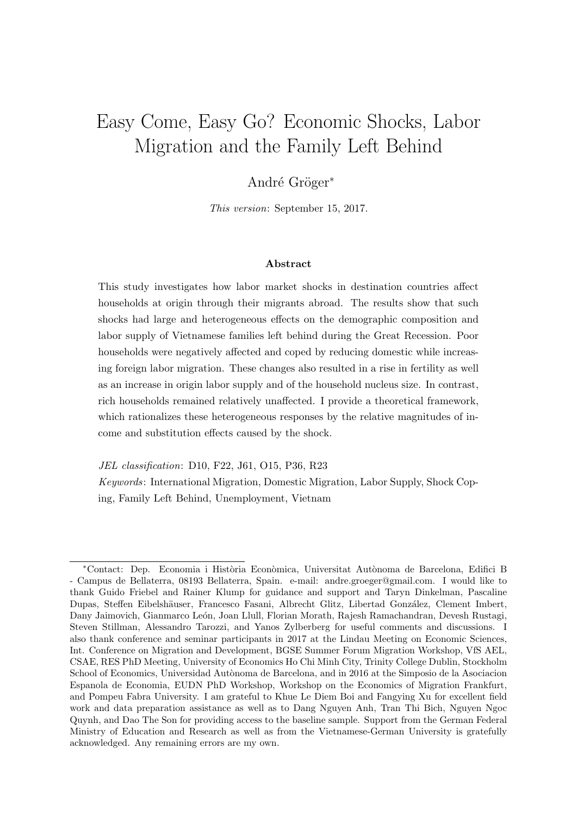# Easy Come, Easy Go? Economic Shocks, Labor Migration and the Family Left Behind

### André Gröger<sup>\*</sup>

This version: September 15, 2017.

#### Abstract

This study investigates how labor market shocks in destination countries affect households at origin through their migrants abroad. The results show that such shocks had large and heterogeneous effects on the demographic composition and labor supply of Vietnamese families left behind during the Great Recession. Poor households were negatively affected and coped by reducing domestic while increasing foreign labor migration. These changes also resulted in a rise in fertility as well as an increase in origin labor supply and of the household nucleus size. In contrast, rich households remained relatively unaffected. I provide a theoretical framework, which rationalizes these heterogeneous responses by the relative magnitudes of income and substitution effects caused by the shock.

JEL classification: D10, F22, J61, O15, P36, R23

Keywords: International Migration, Domestic Migration, Labor Supply, Shock Coping, Family Left Behind, Unemployment, Vietnam

<sup>\*</sup>Contact: Dep. Economia i Història Econòmica, Universitat Autònoma de Barcelona, Edifici B - Campus de Bellaterra, 08193 Bellaterra, Spain. e-mail: andre.groeger@gmail.com. I would like to thank Guido Friebel and Rainer Klump for guidance and support and Taryn Dinkelman, Pascaline Dupas, Steffen Eibelshäuser, Francesco Fasani, Albrecht Glitz, Libertad González, Clement Imbert, Dany Jaimovich, Gianmarco León, Joan Llull, Florian Morath, Rajesh Ramachandran, Devesh Rustagi, Steven Stillman, Alessandro Tarozzi, and Yanos Zylberberg for useful comments and discussions. I also thank conference and seminar participants in 2017 at the Lindau Meeting on Economic Sciences, Int. Conference on Migration and Development, BGSE Summer Forum Migration Workshop, VfS AEL, CSAE, RES PhD Meeting, University of Economics Ho Chi Minh City, Trinity College Dublin, Stockholm School of Economics, Universidad Autònoma de Barcelona, and in 2016 at the Simposio de la Asociacion Espanola de Economia, EUDN PhD Workshop, Workshop on the Economics of Migration Frankfurt, and Pompeu Fabra University. I am grateful to Khue Le Diem Boi and Fangying Xu for excellent field work and data preparation assistance as well as to Dang Nguyen Anh, Tran Thi Bich, Nguyen Ngoc Quynh, and Dao The Son for providing access to the baseline sample. Support from the German Federal Ministry of Education and Research as well as from the Vietnamese-German University is gratefully acknowledged. Any remaining errors are my own.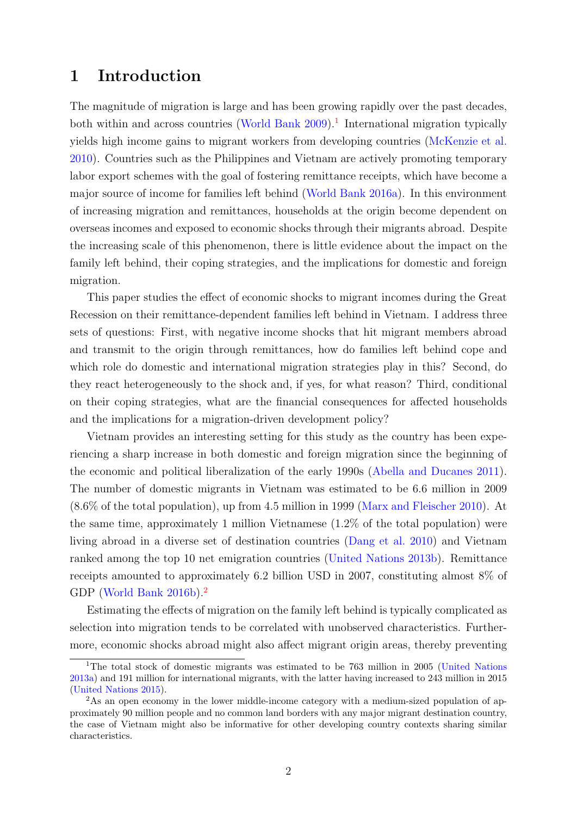## 1 Introduction

The magnitude of migration is large and has been growing rapidly over the past decades, both within and across countries [\(World Bank](#page-31-0) [2009\)](#page-31-0).<sup>[1](#page-1-0)</sup> International migration typically yields high income gains to migrant workers from developing countries [\(McKenzie et al.](#page-29-0) [2010\)](#page-29-0). Countries such as the Philippines and Vietnam are actively promoting temporary labor export schemes with the goal of fostering remittance receipts, which have become a major source of income for families left behind [\(World Bank](#page-31-1) [2016a\)](#page-31-1). In this environment of increasing migration and remittances, households at the origin become dependent on overseas incomes and exposed to economic shocks through their migrants abroad. Despite the increasing scale of this phenomenon, there is little evidence about the impact on the family left behind, their coping strategies, and the implications for domestic and foreign migration.

This paper studies the effect of economic shocks to migrant incomes during the Great Recession on their remittance-dependent families left behind in Vietnam. I address three sets of questions: First, with negative income shocks that hit migrant members abroad and transmit to the origin through remittances, how do families left behind cope and which role do domestic and international migration strategies play in this? Second, do they react heterogeneously to the shock and, if yes, for what reason? Third, conditional on their coping strategies, what are the financial consequences for affected households and the implications for a migration-driven development policy?

Vietnam provides an interesting setting for this study as the country has been experiencing a sharp increase in both domestic and foreign migration since the beginning of the economic and political liberalization of the early 1990s [\(Abella and Ducanes](#page-26-0) [2011\)](#page-26-0). The number of domestic migrants in Vietnam was estimated to be 6.6 million in 2009 (8.6% of the total population), up from 4.5 million in 1999 [\(Marx and Fleischer](#page-28-0) [2010\)](#page-28-0). At the same time, approximately 1 million Vietnamese (1.2% of the total population) were living abroad in a diverse set of destination countries [\(Dang et al.](#page-27-0) [2010\)](#page-27-0) and Vietnam ranked among the top 10 net emigration countries [\(United Nations](#page-30-0) [2013b\)](#page-30-0). Remittance receipts amounted to approximately 6.2 billion USD in 2007, constituting almost 8% of GDP [\(World Bank](#page-31-2) [2016b\)](#page-31-2).<sup>[2](#page-1-1)</sup>

Estimating the effects of migration on the family left behind is typically complicated as selection into migration tends to be correlated with unobserved characteristics. Furthermore, economic shocks abroad might also affect migrant origin areas, thereby preventing

<span id="page-1-0"></span><sup>1</sup>The total stock of domestic migrants was estimated to be 763 million in 2005 [\(United Nations](#page-30-1) [2013a\)](#page-30-1) and 191 million for international migrants, with the latter having increased to 243 million in 2015 [\(United Nations](#page-30-2) [2015\)](#page-30-2).

<span id="page-1-1"></span><sup>&</sup>lt;sup>2</sup>As an open economy in the lower middle-income category with a medium-sized population of approximately 90 million people and no common land borders with any major migrant destination country, the case of Vietnam might also be informative for other developing country contexts sharing similar characteristics.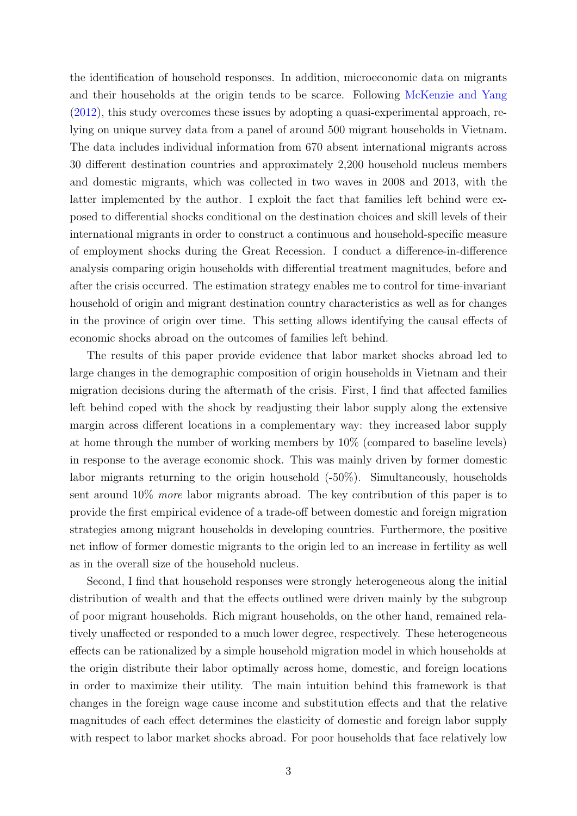the identification of household responses. In addition, microeconomic data on migrants and their households at the origin tends to be scarce. Following [McKenzie and Yang](#page-29-1) [\(2012\)](#page-29-1), this study overcomes these issues by adopting a quasi-experimental approach, relying on unique survey data from a panel of around 500 migrant households in Vietnam. The data includes individual information from 670 absent international migrants across 30 different destination countries and approximately 2,200 household nucleus members and domestic migrants, which was collected in two waves in 2008 and 2013, with the latter implemented by the author. I exploit the fact that families left behind were exposed to differential shocks conditional on the destination choices and skill levels of their international migrants in order to construct a continuous and household-specific measure of employment shocks during the Great Recession. I conduct a difference-in-difference analysis comparing origin households with differential treatment magnitudes, before and after the crisis occurred. The estimation strategy enables me to control for time-invariant household of origin and migrant destination country characteristics as well as for changes in the province of origin over time. This setting allows identifying the causal effects of economic shocks abroad on the outcomes of families left behind.

The results of this paper provide evidence that labor market shocks abroad led to large changes in the demographic composition of origin households in Vietnam and their migration decisions during the aftermath of the crisis. First, I find that affected families left behind coped with the shock by readjusting their labor supply along the extensive margin across different locations in a complementary way: they increased labor supply at home through the number of working members by 10% (compared to baseline levels) in response to the average economic shock. This was mainly driven by former domestic labor migrants returning to the origin household (-50%). Simultaneously, households sent around 10% more labor migrants abroad. The key contribution of this paper is to provide the first empirical evidence of a trade-off between domestic and foreign migration strategies among migrant households in developing countries. Furthermore, the positive net inflow of former domestic migrants to the origin led to an increase in fertility as well as in the overall size of the household nucleus.

Second, I find that household responses were strongly heterogeneous along the initial distribution of wealth and that the effects outlined were driven mainly by the subgroup of poor migrant households. Rich migrant households, on the other hand, remained relatively unaffected or responded to a much lower degree, respectively. These heterogeneous effects can be rationalized by a simple household migration model in which households at the origin distribute their labor optimally across home, domestic, and foreign locations in order to maximize their utility. The main intuition behind this framework is that changes in the foreign wage cause income and substitution effects and that the relative magnitudes of each effect determines the elasticity of domestic and foreign labor supply with respect to labor market shocks abroad. For poor households that face relatively low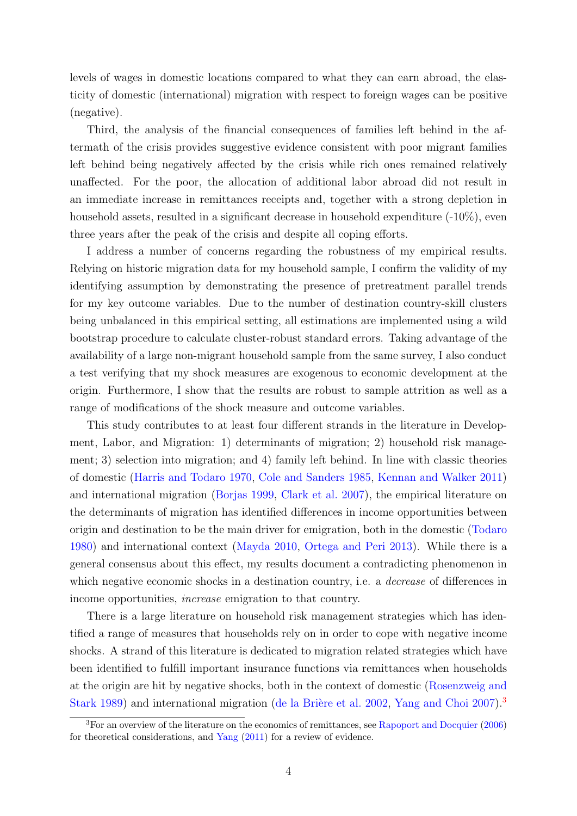levels of wages in domestic locations compared to what they can earn abroad, the elasticity of domestic (international) migration with respect to foreign wages can be positive (negative).

Third, the analysis of the financial consequences of families left behind in the aftermath of the crisis provides suggestive evidence consistent with poor migrant families left behind being negatively affected by the crisis while rich ones remained relatively unaffected. For the poor, the allocation of additional labor abroad did not result in an immediate increase in remittances receipts and, together with a strong depletion in household assets, resulted in a significant decrease in household expenditure  $(-10\%)$ , even three years after the peak of the crisis and despite all coping efforts.

I address a number of concerns regarding the robustness of my empirical results. Relying on historic migration data for my household sample, I confirm the validity of my identifying assumption by demonstrating the presence of pretreatment parallel trends for my key outcome variables. Due to the number of destination country-skill clusters being unbalanced in this empirical setting, all estimations are implemented using a wild bootstrap procedure to calculate cluster-robust standard errors. Taking advantage of the availability of a large non-migrant household sample from the same survey, I also conduct a test verifying that my shock measures are exogenous to economic development at the origin. Furthermore, I show that the results are robust to sample attrition as well as a range of modifications of the shock measure and outcome variables.

This study contributes to at least four different strands in the literature in Development, Labor, and Migration: 1) determinants of migration; 2) household risk management; 3) selection into migration; and 4) family left behind. In line with classic theories of domestic [\(Harris and Todaro](#page-28-1) [1970,](#page-28-1) [Cole and Sanders](#page-27-1) [1985,](#page-27-1) [Kennan and Walker](#page-28-2) [2011\)](#page-28-2) and international migration [\(Borjas](#page-26-1) [1999,](#page-26-1) [Clark et al.](#page-27-2) [2007\)](#page-27-2), the empirical literature on the determinants of migration has identified differences in income opportunities between origin and destination to be the main driver for emigration, both in the domestic [\(Todaro](#page-30-3) [1980\)](#page-30-3) and international context [\(Mayda](#page-28-3) [2010,](#page-28-3) [Ortega and Peri](#page-29-2) [2013\)](#page-29-2). While there is a general consensus about this effect, my results document a contradicting phenomenon in which negative economic shocks in a destination country, i.e. a *decrease* of differences in income opportunities, increase emigration to that country.

There is a large literature on household risk management strategies which has identified a range of measures that households rely on in order to cope with negative income shocks. A strand of this literature is dedicated to migration related strategies which have been identified to fulfill important insurance functions via remittances when households at the origin are hit by negative shocks, both in the context of domestic [\(Rosenzweig and](#page-30-4) [Stark](#page-30-4) [1989\)](#page-30-4) and international migration (de la Brière et al. [2002,](#page-27-3) [Yang and Choi](#page-31-3) [2007\)](#page-31-3).<sup>[3](#page-3-0)</sup>

<span id="page-3-0"></span> ${}^{3}$ For an overview of the literature on the economics of remittances, see [Rapoport and Docquier](#page-30-5) [\(2006\)](#page-30-5) for theoretical considerations, and [Yang](#page-31-4) [\(2011\)](#page-31-4) for a review of evidence.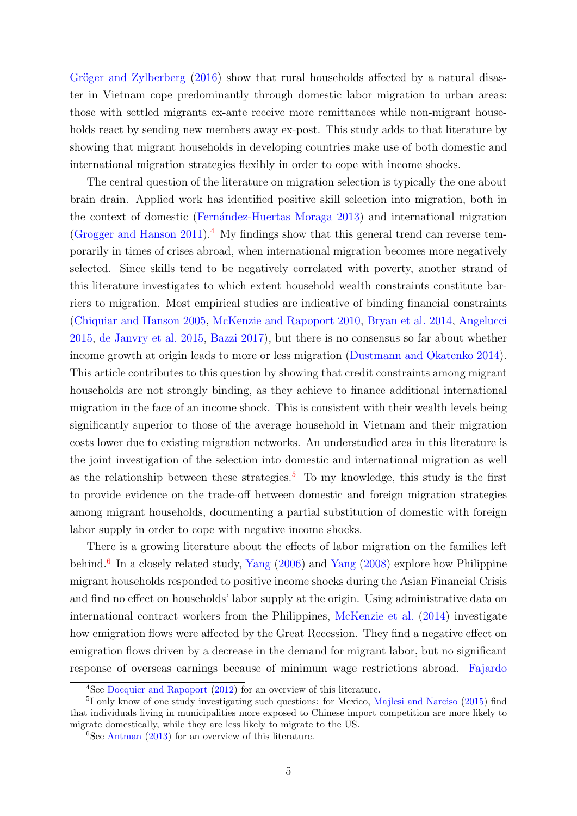Gröger and Zylberberg  $(2016)$  show that rural households affected by a natural disaster in Vietnam cope predominantly through domestic labor migration to urban areas: those with settled migrants ex-ante receive more remittances while non-migrant households react by sending new members away ex-post. This study adds to that literature by showing that migrant households in developing countries make use of both domestic and international migration strategies flexibly in order to cope with income shocks.

The central question of the literature on migration selection is typically the one about brain drain. Applied work has identified positive skill selection into migration, both in the context of domestic (Fernández-Huertas Moraga [2013\)](#page-28-5) and international migration [\(Grogger and Hanson](#page-28-6)  $2011$ ).<sup>[4](#page-4-0)</sup> My findings show that this general trend can reverse temporarily in times of crises abroad, when international migration becomes more negatively selected. Since skills tend to be negatively correlated with poverty, another strand of this literature investigates to which extent household wealth constraints constitute barriers to migration. Most empirical studies are indicative of binding financial constraints [\(Chiquiar and Hanson](#page-27-4) [2005,](#page-27-4) [McKenzie and Rapoport](#page-29-3) [2010,](#page-29-3) [Bryan et al.](#page-26-2) [2014,](#page-26-2) [Angelucci](#page-26-3) [2015,](#page-26-3) [de Janvry et al.](#page-27-5) [2015,](#page-27-5) [Bazzi](#page-26-4) [2017\)](#page-26-4), but there is no consensus so far about whether income growth at origin leads to more or less migration [\(Dustmann and Okatenko](#page-28-7) [2014\)](#page-28-7). This article contributes to this question by showing that credit constraints among migrant households are not strongly binding, as they achieve to finance additional international migration in the face of an income shock. This is consistent with their wealth levels being significantly superior to those of the average household in Vietnam and their migration costs lower due to existing migration networks. An understudied area in this literature is the joint investigation of the selection into domestic and international migration as well as the relationship between these strategies.<sup>[5](#page-4-1)</sup> To my knowledge, this study is the first to provide evidence on the trade-off between domestic and foreign migration strategies among migrant households, documenting a partial substitution of domestic with foreign labor supply in order to cope with negative income shocks.

There is a growing literature about the effects of labor migration on the families left behind.<sup>[6](#page-4-2)</sup> In a closely related study, [Yang](#page-31-6) [\(2006\)](#page-31-5) and Yang [\(2008\)](#page-31-6) explore how Philippine migrant households responded to positive income shocks during the Asian Financial Crisis and find no effect on households' labor supply at the origin. Using administrative data on international contract workers from the Philippines, [McKenzie et al.](#page-29-4) [\(2014\)](#page-29-4) investigate how emigration flows were affected by the Great Recession. They find a negative effect on emigration flows driven by a decrease in the demand for migrant labor, but no significant response of overseas earnings because of minimum wage restrictions abroad. [Fajardo](#page-28-8)

<span id="page-4-1"></span><span id="page-4-0"></span><sup>4</sup>See [Docquier and Rapoport](#page-27-6) [\(2012\) for an overview of this literature.](#page-28-8)

<sup>&</sup>lt;sup>5</sup>[I only know of one study investigating such questions: for Mexico,](#page-28-8) [Majlesi and Narciso](#page-28-9) [\(2015\)](#page-28-9) find [that individuals living in municipalities more exposed to Chinese import competition are more likely to](#page-28-8) [migrate domestically, while they are less likely to migrate to the US.](#page-28-8)

<span id="page-4-2"></span> ${}^{6}$ See [Antman](#page-26-5) [\(2013\) for an overview of this literature.](#page-28-8)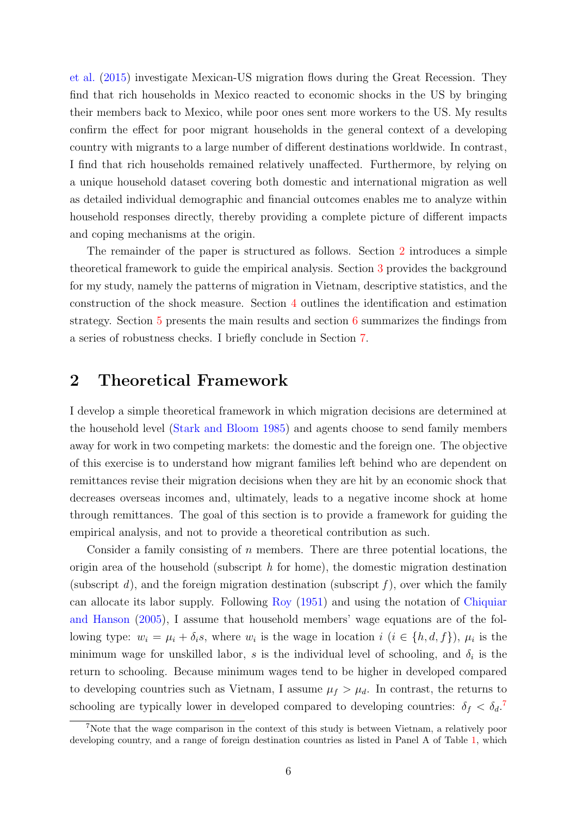[et al.](#page-28-8) [\(2015\)](#page-28-8) investigate Mexican-US migration flows during the Great Recession. They find that rich households in Mexico reacted to economic shocks in the US by bringing their members back to Mexico, while poor ones sent more workers to the US. My results confirm the effect for poor migrant households in the general context of a developing country with migrants to a large number of different destinations worldwide. In contrast, I find that rich households remained relatively unaffected. Furthermore, by relying on a unique household dataset covering both domestic and international migration as well as detailed individual demographic and financial outcomes enables me to analyze within household responses directly, thereby providing a complete picture of different impacts and coping mechanisms at the origin.

The remainder of the paper is structured as follows. Section [2](#page-5-0) introduces a simple theoretical framework to guide the empirical analysis. Section [3](#page-8-0) provides the background for my study, namely the patterns of migration in Vietnam, descriptive statistics, and the construction of the shock measure. Section [4](#page-14-0) outlines the identification and estimation strategy. Section [5](#page-17-0) presents the main results and section [6](#page-23-0) summarizes the findings from a series of robustness checks. I briefly conclude in Section [7.](#page-25-0)

## <span id="page-5-0"></span>2 Theoretical Framework

I develop a simple theoretical framework in which migration decisions are determined at the household level [\(Stark and Bloom](#page-30-6) [1985\)](#page-30-6) and agents choose to send family members away for work in two competing markets: the domestic and the foreign one. The objective of this exercise is to understand how migrant families left behind who are dependent on remittances revise their migration decisions when they are hit by an economic shock that decreases overseas incomes and, ultimately, leads to a negative income shock at home through remittances. The goal of this section is to provide a framework for guiding the empirical analysis, and not to provide a theoretical contribution as such.

Consider a family consisting of  $n$  members. There are three potential locations, the origin area of the household (subscript  $h$  for home), the domestic migration destination (subscript d), and the foreign migration destination (subscript  $f$ ), over which the family can allocate its labor supply. Following [Roy](#page-30-7) [\(1951\)](#page-30-7) and using the notation of [Chiquiar](#page-27-4) [and Hanson](#page-27-4) [\(2005\)](#page-27-4), I assume that household members' wage equations are of the following type:  $w_i = \mu_i + \delta_i s$ , where  $w_i$  is the wage in location  $i$   $(i \in \{h, d, f\})$ ,  $\mu_i$  is the minimum wage for unskilled labor, s is the individual level of schooling, and  $\delta_i$  is the return to schooling. Because minimum wages tend to be higher in developed compared to developing countries such as Vietnam, I assume  $\mu_f > \mu_d$ . In contrast, the returns to schooling are typically lower in developed compared to developing countries:  $\delta_f < \delta_d$ .

<span id="page-5-1"></span><sup>7</sup>Note that the wage comparison in the context of this study is between Vietnam, a relatively poor developing country, and a range of foreign destination countries as listed in Panel A of Table [1,](#page-33-0) which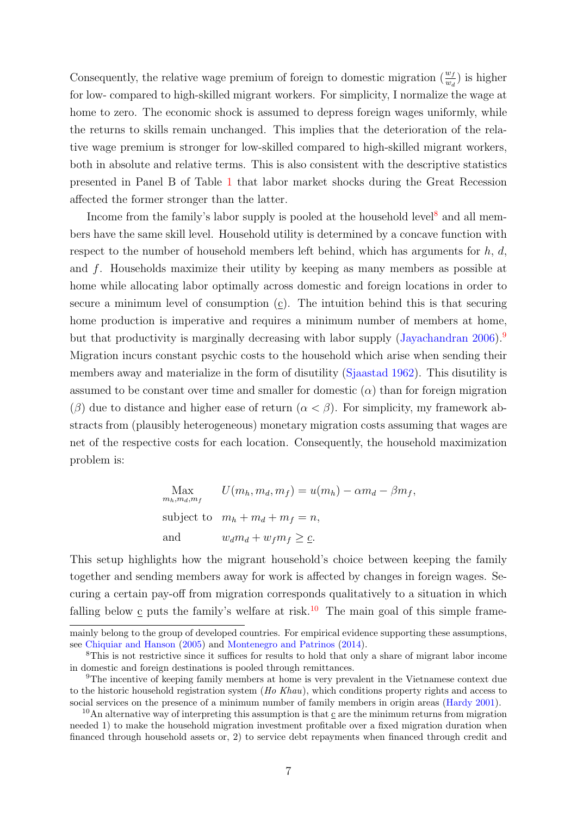Consequently, the relative wage premium of foreign to domestic migration  $\left(\frac{w_f}{w_d}\right)$  is higher for low- compared to high-skilled migrant workers. For simplicity, I normalize the wage at home to zero. The economic shock is assumed to depress foreign wages uniformly, while the returns to skills remain unchanged. This implies that the deterioration of the relative wage premium is stronger for low-skilled compared to high-skilled migrant workers, both in absolute and relative terms. This is also consistent with the descriptive statistics presented in Panel B of Table [1](#page-33-0) that labor market shocks during the Great Recession affected the former stronger than the latter.

Income from the family's labor supply is pooled at the household level<sup>[8](#page-6-0)</sup> and all members have the same skill level. Household utility is determined by a concave function with respect to the number of household members left behind, which has arguments for  $h, d$ , and f. Households maximize their utility by keeping as many members as possible at home while allocating labor optimally across domestic and foreign locations in order to secure a minimum level of consumption (c). The intuition behind this is that securing home production is imperative and requires a minimum number of members at home, but that productivity is marginally decreasing with labor supply [\(Jayachandran](#page-28-10) [2006\)](#page-28-10).<sup>[9](#page-6-1)</sup> Migration incurs constant psychic costs to the household which arise when sending their members away and materialize in the form of disutility [\(Sjaastad](#page-30-8) [1962\)](#page-30-8). This disutility is assumed to be constant over time and smaller for domestic  $(\alpha)$  than for foreign migration (β) due to distance and higher ease of return ( $\alpha < \beta$ ). For simplicity, my framework abstracts from (plausibly heterogeneous) monetary migration costs assuming that wages are net of the respective costs for each location. Consequently, the household maximization problem is:

> Max  $m_h, m_d, m_{\,f}$  $U(m_h, m_d, m_f) = u(m_h) - \alpha m_d - \beta m_f,$ subject to  $m_h + m_d + m_f = n$ , and  $w_d m_d + w_f m_f \geq \underline{c}$ .

This setup highlights how the migrant household's choice between keeping the family together and sending members away for work is affected by changes in foreign wages. Securing a certain pay-off from migration corresponds qualitatively to a situation in which falling below  $\underline{c}$  puts the family's welfare at risk.<sup>[10](#page-6-2)</sup> The main goal of this simple frame-

mainly belong to the group of developed countries. For empirical evidence supporting these assumptions, see [Chiquiar and Hanson](#page-27-4) [\(2005\)](#page-27-4) and [Montenegro and Patrinos](#page-29-5) [\(2014\)](#page-29-5).

<span id="page-6-0"></span><sup>8</sup>This is not restrictive since it suffices for results to hold that only a share of migrant labor income in domestic and foreign destinations is pooled through remittances.

<span id="page-6-1"></span><sup>9</sup>The incentive of keeping family members at home is very prevalent in the Vietnamese context due to the historic household registration system (Ho Khau), which conditions property rights and access to social services on the presence of a minimum number of family members in origin areas [\(Hardy](#page-28-11) [2001\)](#page-28-11).

<span id="page-6-2"></span><sup>&</sup>lt;sup>10</sup>An alternative way of interpreting this assumption is that  $\sigma$  are the minimum returns from migration needed 1) to make the household migration investment profitable over a fixed migration duration when financed through household assets or, 2) to service debt repayments when financed through credit and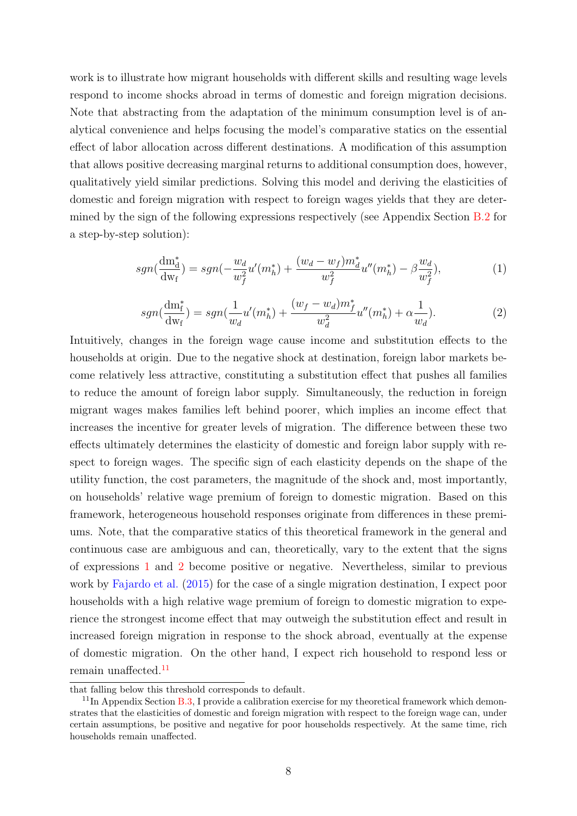work is to illustrate how migrant households with different skills and resulting wage levels respond to income shocks abroad in terms of domestic and foreign migration decisions. Note that abstracting from the adaptation of the minimum consumption level is of analytical convenience and helps focusing the model's comparative statics on the essential effect of labor allocation across different destinations. A modification of this assumption that allows positive decreasing marginal returns to additional consumption does, however, qualitatively yield similar predictions. Solving this model and deriving the elasticities of domestic and foreign migration with respect to foreign wages yields that they are determined by the sign of the following expressions respectively (see Appendix Section [B.2](#page-39-0) for a step-by-step solution):

<span id="page-7-0"></span>
$$
sgn(\frac{dm_d^*}{dw_f}) = sgn(-\frac{w_d}{w_f^2}u'(m_h^*) + \frac{(w_d - w_f)m_d^*}{w_f^2}u''(m_h^*) - \beta \frac{w_d}{w_f^2}),\tag{1}
$$

<span id="page-7-1"></span>
$$
sgn(\frac{dm_f^*}{dw_f}) = sgn(\frac{1}{w_d}u'(m_h^*) + \frac{(w_f - w_d)m_f^*}{w_d^2}u''(m_h^*) + \alpha \frac{1}{w_d}).
$$
\n(2)

Intuitively, changes in the foreign wage cause income and substitution effects to the households at origin. Due to the negative shock at destination, foreign labor markets become relatively less attractive, constituting a substitution effect that pushes all families to reduce the amount of foreign labor supply. Simultaneously, the reduction in foreign migrant wages makes families left behind poorer, which implies an income effect that increases the incentive for greater levels of migration. The difference between these two effects ultimately determines the elasticity of domestic and foreign labor supply with respect to foreign wages. The specific sign of each elasticity depends on the shape of the utility function, the cost parameters, the magnitude of the shock and, most importantly, on households' relative wage premium of foreign to domestic migration. Based on this framework, heterogeneous household responses originate from differences in these premiums. Note, that the comparative statics of this theoretical framework in the general and continuous case are ambiguous and can, theoretically, vary to the extent that the signs of expressions [1](#page-7-0) and [2](#page-7-1) become positive or negative. Nevertheless, similar to previous work by [Fajardo et al.](#page-28-8) [\(2015\)](#page-28-8) for the case of a single migration destination, I expect poor households with a high relative wage premium of foreign to domestic migration to experience the strongest income effect that may outweigh the substitution effect and result in increased foreign migration in response to the shock abroad, eventually at the expense of domestic migration. On the other hand, I expect rich household to respond less or remain unaffected.[11](#page-7-2)

that falling below this threshold corresponds to default.

<span id="page-7-2"></span> $11$ In Appendix Section [B.3,](#page-41-0) I provide a calibration exercise for my theoretical framework which demonstrates that the elasticities of domestic and foreign migration with respect to the foreign wage can, under certain assumptions, be positive and negative for poor households respectively. At the same time, rich households remain unaffected.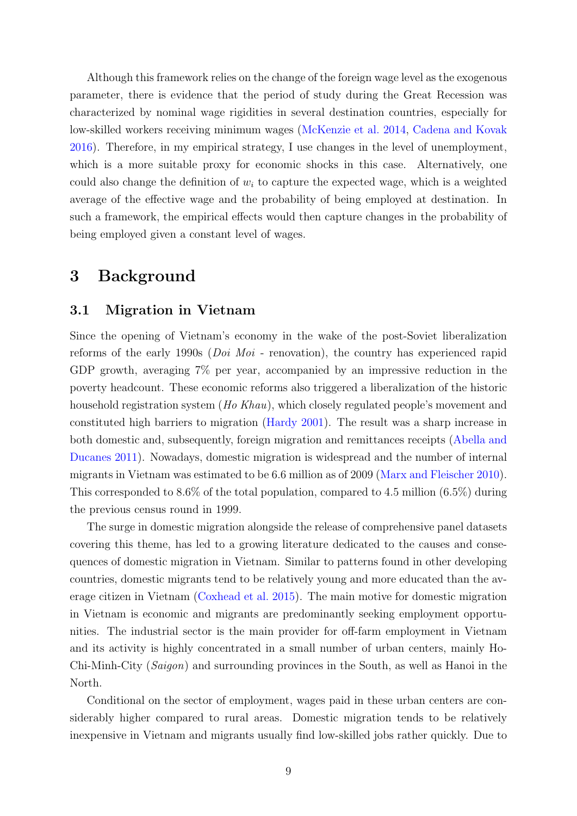Although this framework relies on the change of the foreign wage level as the exogenous parameter, there is evidence that the period of study during the Great Recession was characterized by nominal wage rigidities in several destination countries, especially for low-skilled workers receiving minimum wages [\(McKenzie et al.](#page-29-4) [2014,](#page-29-4) [Cadena and Kovak](#page-26-6) [2016\)](#page-26-6). Therefore, in my empirical strategy, I use changes in the level of unemployment, which is a more suitable proxy for economic shocks in this case. Alternatively, one could also change the definition of  $w_i$  to capture the expected wage, which is a weighted average of the effective wage and the probability of being employed at destination. In such a framework, the empirical effects would then capture changes in the probability of being employed given a constant level of wages.

## <span id="page-8-0"></span>3 Background

#### 3.1 Migration in Vietnam

Since the opening of Vietnam's economy in the wake of the post-Soviet liberalization reforms of the early 1990s (Doi Moi - renovation), the country has experienced rapid GDP growth, averaging 7% per year, accompanied by an impressive reduction in the poverty headcount. These economic reforms also triggered a liberalization of the historic household registration system (Ho Khau), which closely regulated people's movement and constituted high barriers to migration [\(Hardy](#page-28-11) [2001\)](#page-28-11). The result was a sharp increase in both domestic and, subsequently, foreign migration and remittances receipts [\(Abella and](#page-26-0) [Ducanes](#page-26-0) [2011\)](#page-26-0). Nowadays, domestic migration is widespread and the number of internal migrants in Vietnam was estimated to be 6.6 million as of 2009 [\(Marx and Fleischer](#page-28-0) [2010\)](#page-28-0). This corresponded to 8.6% of the total population, compared to 4.5 million (6.5%) during the previous census round in 1999.

The surge in domestic migration alongside the release of comprehensive panel datasets covering this theme, has led to a growing literature dedicated to the causes and consequences of domestic migration in Vietnam. Similar to patterns found in other developing countries, domestic migrants tend to be relatively young and more educated than the average citizen in Vietnam [\(Coxhead et al.](#page-27-7) [2015\)](#page-27-7). The main motive for domestic migration in Vietnam is economic and migrants are predominantly seeking employment opportunities. The industrial sector is the main provider for off-farm employment in Vietnam and its activity is highly concentrated in a small number of urban centers, mainly Ho-Chi-Minh-City (Saigon) and surrounding provinces in the South, as well as Hanoi in the North.

Conditional on the sector of employment, wages paid in these urban centers are considerably higher compared to rural areas. Domestic migration tends to be relatively inexpensive in Vietnam and migrants usually find low-skilled jobs rather quickly. Due to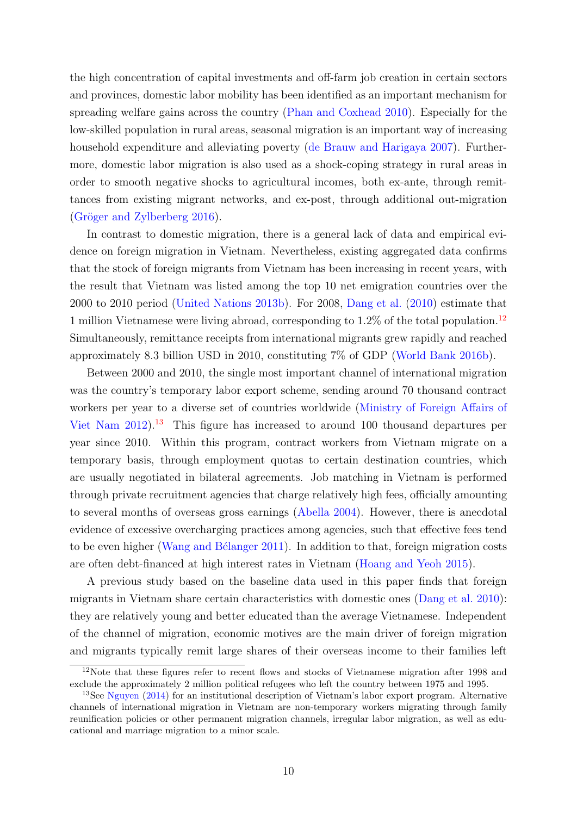the high concentration of capital investments and off-farm job creation in certain sectors and provinces, domestic labor mobility has been identified as an important mechanism for spreading welfare gains across the country [\(Phan and Coxhead](#page-29-6) [2010\)](#page-29-6). Especially for the low-skilled population in rural areas, seasonal migration is an important way of increasing household expenditure and alleviating poverty [\(de Brauw and Harigaya](#page-27-8) [2007\)](#page-27-8). Furthermore, domestic labor migration is also used as a shock-coping strategy in rural areas in order to smooth negative shocks to agricultural incomes, both ex-ante, through remittances from existing migrant networks, and ex-post, through additional out-migration  $(Gröger and Zylberberg 2016).$  $(Gröger and Zylberberg 2016).$  $(Gröger and Zylberberg 2016).$ 

In contrast to domestic migration, there is a general lack of data and empirical evidence on foreign migration in Vietnam. Nevertheless, existing aggregated data confirms that the stock of foreign migrants from Vietnam has been increasing in recent years, with the result that Vietnam was listed among the top 10 net emigration countries over the 2000 to 2010 period [\(United Nations](#page-30-0) [2013b\)](#page-30-0). For 2008, [Dang et al.](#page-27-0) [\(2010\)](#page-27-0) estimate that 1 million Vietnamese were living abroad, corresponding to 1.2% of the total population.<sup>[12](#page-9-0)</sup> Simultaneously, remittance receipts from international migrants grew rapidly and reached approximately 8.3 billion USD in 2010, constituting 7% of GDP [\(World Bank](#page-31-2) [2016b\)](#page-31-2).

Between 2000 and 2010, the single most important channel of international migration was the country's temporary labor export scheme, sending around 70 thousand contract workers per year to a diverse set of countries worldwide [\(Ministry of Foreign Affairs of](#page-29-7) [Viet Nam](#page-29-7)  $2012$ <sup>[13](#page-9-1)</sup>. This figure has increased to around 100 thousand departures per year since 2010. Within this program, contract workers from Vietnam migrate on a temporary basis, through employment quotas to certain destination countries, which are usually negotiated in bilateral agreements. Job matching in Vietnam is performed through private recruitment agencies that charge relatively high fees, officially amounting to several months of overseas gross earnings [\(Abella](#page-26-7) [2004\)](#page-26-7). However, there is anecdotal evidence of excessive overcharging practices among agencies, such that effective fees tend to be even higher (Wang and Bélanger [2011\)](#page-30-9). In addition to that, foreign migration costs are often debt-financed at high interest rates in Vietnam [\(Hoang and Yeoh](#page-28-12) [2015\)](#page-28-12).

A previous study based on the baseline data used in this paper finds that foreign migrants in Vietnam share certain characteristics with domestic ones [\(Dang et al.](#page-27-0) [2010\)](#page-27-0): they are relatively young and better educated than the average Vietnamese. Independent of the channel of migration, economic motives are the main driver of foreign migration and migrants typically remit large shares of their overseas income to their families left

<span id="page-9-0"></span><sup>&</sup>lt;sup>12</sup>Note that these figures refer to recent flows and stocks of Vietnamese migration after 1998 and exclude the approximately 2 million political refugees who left the country between 1975 and 1995.

<span id="page-9-1"></span><sup>13</sup>See [Nguyen](#page-29-8) [\(2014\)](#page-29-8) for an institutional description of Vietnam's labor export program. Alternative channels of international migration in Vietnam are non-temporary workers migrating through family reunification policies or other permanent migration channels, irregular labor migration, as well as educational and marriage migration to a minor scale.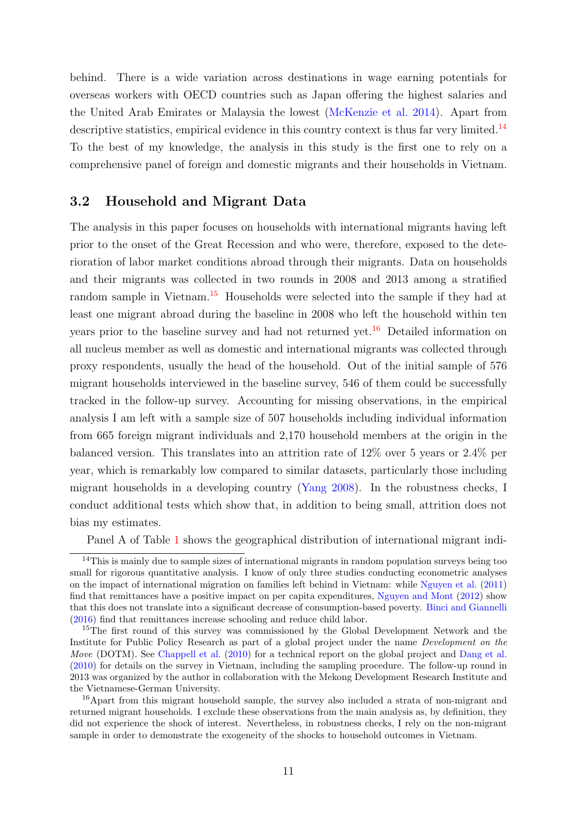behind. There is a wide variation across destinations in wage earning potentials for overseas workers with OECD countries such as Japan offering the highest salaries and the United Arab Emirates or Malaysia the lowest [\(McKenzie et al.](#page-29-4) [2014\)](#page-29-4). Apart from descriptive statistics, empirical evidence in this country context is thus far very limited.<sup>[14](#page-10-0)</sup> To the best of my knowledge, the analysis in this study is the first one to rely on a comprehensive panel of foreign and domestic migrants and their households in Vietnam.

#### 3.2 Household and Migrant Data

The analysis in this paper focuses on households with international migrants having left prior to the onset of the Great Recession and who were, therefore, exposed to the deterioration of labor market conditions abroad through their migrants. Data on households and their migrants was collected in two rounds in 2008 and 2013 among a stratified random sample in Vietnam.<sup>[15](#page-10-1)</sup> Households were selected into the sample if they had at least one migrant abroad during the baseline in 2008 who left the household within ten years prior to the baseline survey and had not returned yet.<sup>[16](#page-10-2)</sup> Detailed information on all nucleus member as well as domestic and international migrants was collected through proxy respondents, usually the head of the household. Out of the initial sample of 576 migrant households interviewed in the baseline survey, 546 of them could be successfully tracked in the follow-up survey. Accounting for missing observations, in the empirical analysis I am left with a sample size of 507 households including individual information from 665 foreign migrant individuals and 2,170 household members at the origin in the balanced version. This translates into an attrition rate of 12% over 5 years or 2.4% per year, which is remarkably low compared to similar datasets, particularly those including migrant households in a developing country [\(Yang](#page-31-6) [2008\)](#page-31-6). In the robustness checks, I conduct additional tests which show that, in addition to being small, attrition does not bias my estimates.

<span id="page-10-0"></span>Panel A of Table [1](#page-33-0) shows the geographical distribution of international migrant indi-

<sup>&</sup>lt;sup>14</sup>This is mainly due to sample sizes of international migrants in random population surveys being too small for rigorous quantitative analysis. I know of only three studies conducting econometric analyses on the impact of international migration on families left behind in Vietnam: while [Nguyen et al.](#page-29-9) [\(2011\)](#page-29-9) find that remittances have a positive impact on per capita expenditures, [Nguyen and Mont](#page-29-10) [\(2012\)](#page-29-10) show that this does not translate into a significant decrease of consumption-based poverty. [Binci and Giannelli](#page-26-8) [\(2016\)](#page-26-8) find that remittances increase schooling and reduce child labor.

<span id="page-10-1"></span><sup>&</sup>lt;sup>15</sup>The first round of this survey was commissioned by the Global Development Network and the Institute for Public Policy Research as part of a global project under the name Development on the Move (DOTM). See [Chappell et al.](#page-27-9) [\(2010\)](#page-27-9) for a technical report on the global project and [Dang et al.](#page-27-0) [\(2010\)](#page-27-0) for details on the survey in Vietnam, including the sampling procedure. The follow-up round in 2013 was organized by the author in collaboration with the Mekong Development Research Institute and the Vietnamese-German University.

<span id="page-10-2"></span><sup>&</sup>lt;sup>16</sup>Apart from this migrant household sample, the survey also included a strata of non-migrant and returned migrant households. I exclude these observations from the main analysis as, by definition, they did not experience the shock of interest. Nevertheless, in robustness checks, I rely on the non-migrant sample in order to demonstrate the exogeneity of the shocks to household outcomes in Vietnam.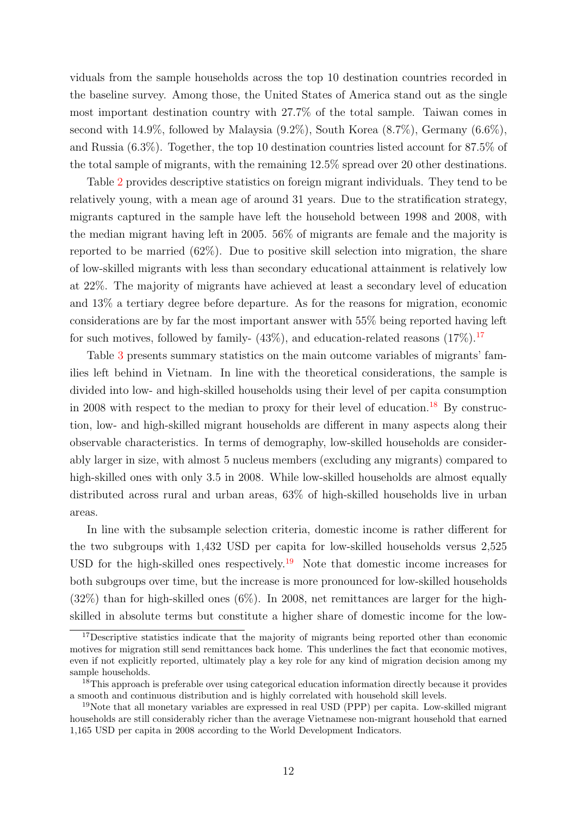viduals from the sample households across the top 10 destination countries recorded in the baseline survey. Among those, the United States of America stand out as the single most important destination country with 27.7% of the total sample. Taiwan comes in second with 14.9%, followed by Malaysia (9.2%), South Korea (8.7%), Germany (6.6%), and Russia (6.3%). Together, the top 10 destination countries listed account for 87.5% of the total sample of migrants, with the remaining 12.5% spread over 20 other destinations.

Table [2](#page-33-1) provides descriptive statistics on foreign migrant individuals. They tend to be relatively young, with a mean age of around 31 years. Due to the stratification strategy, migrants captured in the sample have left the household between 1998 and 2008, with the median migrant having left in 2005. 56% of migrants are female and the majority is reported to be married (62%). Due to positive skill selection into migration, the share of low-skilled migrants with less than secondary educational attainment is relatively low at 22%. The majority of migrants have achieved at least a secondary level of education and 13% a tertiary degree before departure. As for the reasons for migration, economic considerations are by far the most important answer with 55% being reported having left for such motives, followed by family-  $(43\%)$ , and education-related reasons  $(17\%)$  $(17\%)$  $(17\%)$ .<sup>17</sup>

Table [3](#page-34-0) presents summary statistics on the main outcome variables of migrants' families left behind in Vietnam. In line with the theoretical considerations, the sample is divided into low- and high-skilled households using their level of per capita consumption in 2008 with respect to the median to proxy for their level of education.<sup>[18](#page-11-1)</sup> By construction, low- and high-skilled migrant households are different in many aspects along their observable characteristics. In terms of demography, low-skilled households are considerably larger in size, with almost 5 nucleus members (excluding any migrants) compared to high-skilled ones with only 3.5 in 2008. While low-skilled households are almost equally distributed across rural and urban areas, 63% of high-skilled households live in urban areas.

In line with the subsample selection criteria, domestic income is rather different for the two subgroups with 1,432 USD per capita for low-skilled households versus 2,525 USD for the high-skilled ones respectively.<sup>[19](#page-11-2)</sup> Note that domestic income increases for both subgroups over time, but the increase is more pronounced for low-skilled households  $(32\%)$  than for high-skilled ones  $(6\%)$ . In 2008, net remittances are larger for the highskilled in absolute terms but constitute a higher share of domestic income for the low-

<span id="page-11-0"></span><sup>&</sup>lt;sup>17</sup>Descriptive statistics indicate that the majority of migrants being reported other than economic motives for migration still send remittances back home. This underlines the fact that economic motives, even if not explicitly reported, ultimately play a key role for any kind of migration decision among my sample households.

<span id="page-11-1"></span> $18$ This approach is preferable over using categorical education information directly because it provides a smooth and continuous distribution and is highly correlated with household skill levels.

<span id="page-11-2"></span><sup>19</sup>Note that all monetary variables are expressed in real USD (PPP) per capita. Low-skilled migrant households are still considerably richer than the average Vietnamese non-migrant household that earned 1,165 USD per capita in 2008 according to the World Development Indicators.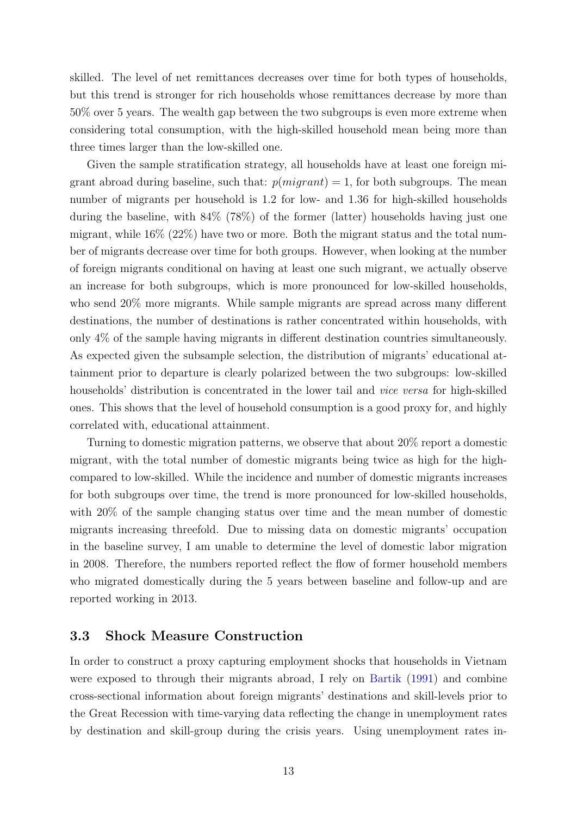skilled. The level of net remittances decreases over time for both types of households, but this trend is stronger for rich households whose remittances decrease by more than 50% over 5 years. The wealth gap between the two subgroups is even more extreme when considering total consumption, with the high-skilled household mean being more than three times larger than the low-skilled one.

Given the sample stratification strategy, all households have at least one foreign migrant abroad during baseline, such that:  $p(migrant) = 1$ , for both subgroups. The mean number of migrants per household is 1.2 for low- and 1.36 for high-skilled households during the baseline, with 84% (78%) of the former (latter) households having just one migrant, while 16% (22%) have two or more. Both the migrant status and the total number of migrants decrease over time for both groups. However, when looking at the number of foreign migrants conditional on having at least one such migrant, we actually observe an increase for both subgroups, which is more pronounced for low-skilled households, who send 20% more migrants. While sample migrants are spread across many different destinations, the number of destinations is rather concentrated within households, with only 4% of the sample having migrants in different destination countries simultaneously. As expected given the subsample selection, the distribution of migrants' educational attainment prior to departure is clearly polarized between the two subgroups: low-skilled households' distribution is concentrated in the lower tail and *vice versa* for high-skilled ones. This shows that the level of household consumption is a good proxy for, and highly correlated with, educational attainment.

Turning to domestic migration patterns, we observe that about 20% report a domestic migrant, with the total number of domestic migrants being twice as high for the highcompared to low-skilled. While the incidence and number of domestic migrants increases for both subgroups over time, the trend is more pronounced for low-skilled households, with 20% of the sample changing status over time and the mean number of domestic migrants increasing threefold. Due to missing data on domestic migrants' occupation in the baseline survey, I am unable to determine the level of domestic labor migration in 2008. Therefore, the numbers reported reflect the flow of former household members who migrated domestically during the 5 years between baseline and follow-up and are reported working in 2013.

#### 3.3 Shock Measure Construction

In order to construct a proxy capturing employment shocks that households in Vietnam were exposed to through their migrants abroad, I rely on [Bartik](#page-26-9) [\(1991\)](#page-26-9) and combine cross-sectional information about foreign migrants' destinations and skill-levels prior to the Great Recession with time-varying data reflecting the change in unemployment rates by destination and skill-group during the crisis years. Using unemployment rates in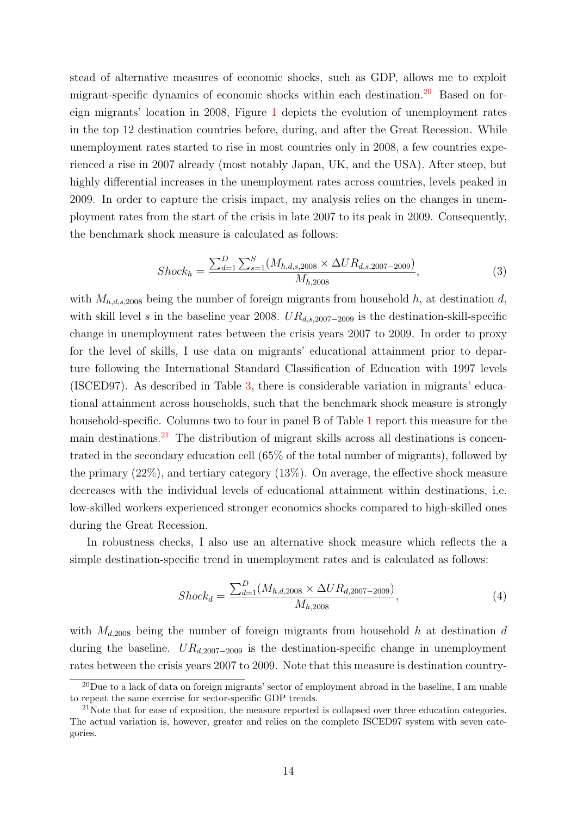stead of alternative measures of economic shocks, such as GDP, allows me to exploit migrant-specific dynamics of economic shocks within each destination.<sup>[20](#page-13-0)</sup> Based on foreign migrants' location in 2008, Figure [1](#page-32-0) depicts the evolution of unemployment rates in the top 12 destination countries before, during, and after the Great Recession. While unemployment rates started to rise in most countries only in 2008, a few countries experienced a rise in 2007 already (most notably Japan, UK, and the USA). After steep, but highly differential increases in the unemployment rates across countries, levels peaked in 2009. In order to capture the crisis impact, my analysis relies on the changes in unemployment rates from the start of the crisis in late 2007 to its peak in 2009. Consequently, the benchmark shock measure is calculated as follows:

<span id="page-13-2"></span>
$$
Shock_h = \frac{\sum_{d=1}^{D} \sum_{s=1}^{S} (M_{h,d,s,2008} \times \Delta UR_{d,s,2007-2009})}{M_{h,2008}},
$$
\n(3)

with  $M_{h,d,s,2008}$  being the number of foreign migrants from household h, at destination d, with skill level s in the baseline year 2008. UR<sub>d,s,2007</sub>-<sub>2009</sub> is the destination-skill-specific change in unemployment rates between the crisis years 2007 to 2009. In order to proxy for the level of skills, I use data on migrants' educational attainment prior to departure following the International Standard Classification of Education with 1997 levels (ISCED97). As described in Table [3,](#page-34-0) there is considerable variation in migrants' educational attainment across households, such that the benchmark shock measure is strongly household-specific. Columns two to four in panel B of Table [1](#page-33-0) report this measure for the main destinations.[21](#page-13-1) The distribution of migrant skills across all destinations is concentrated in the secondary education cell (65% of the total number of migrants), followed by the primary (22%), and tertiary category (13%). On average, the effective shock measure decreases with the individual levels of educational attainment within destinations, i.e. low-skilled workers experienced stronger economics shocks compared to high-skilled ones during the Great Recession.

In robustness checks, I also use an alternative shock measure which reflects the a simple destination-specific trend in unemployment rates and is calculated as follows:

<span id="page-13-3"></span>
$$
Shock_d = \frac{\sum_{d=1}^{D} (M_{h,d,2008} \times \Delta UR_{d,2007-2009})}{M_{h,2008}},
$$
\n(4)

with  $M_{d,2008}$  being the number of foreign migrants from household h at destination d during the baseline.  $UR_{d,2007-2009}$  is the destination-specific change in unemployment rates between the crisis years 2007 to 2009. Note that this measure is destination country-

<span id="page-13-0"></span> $^{20}$ Due to a lack of data on foreign migrants' sector of employment abroad in the baseline, I am unable to repeat the same exercise for sector-specific GDP trends.

<span id="page-13-1"></span><sup>&</sup>lt;sup>21</sup>Note that for ease of exposition, the measure reported is collapsed over three education categories. The actual variation is, however, greater and relies on the complete ISCED97 system with seven categories.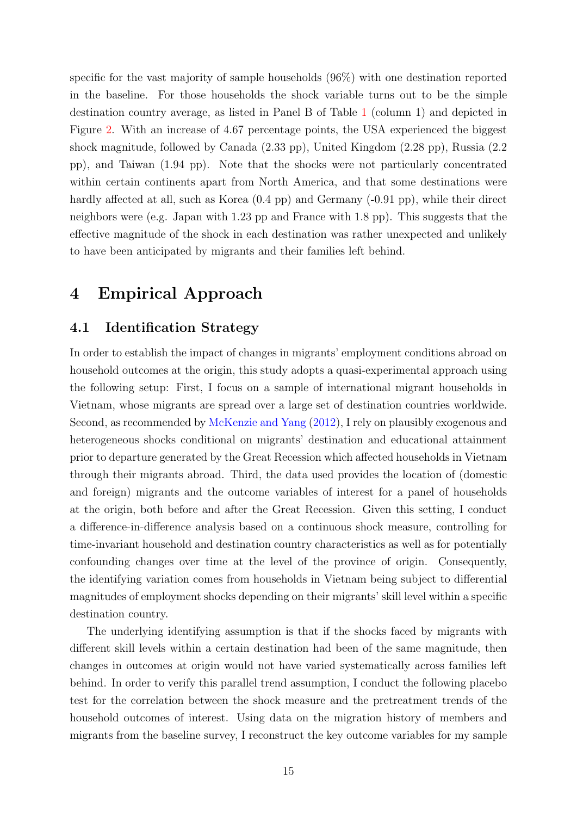specific for the vast majority of sample households (96%) with one destination reported in the baseline. For those households the shock variable turns out to be the simple destination country average, as listed in Panel B of Table [1](#page-33-0) (column 1) and depicted in Figure [2.](#page-32-1) With an increase of 4.67 percentage points, the USA experienced the biggest shock magnitude, followed by Canada (2.33 pp), United Kingdom (2.28 pp), Russia (2.2 pp), and Taiwan (1.94 pp). Note that the shocks were not particularly concentrated within certain continents apart from North America, and that some destinations were hardly affected at all, such as Korea  $(0.4 \text{ pp})$  and Germany  $(-0.91 \text{ pp})$ , while their direct neighbors were (e.g. Japan with 1.23 pp and France with 1.8 pp). This suggests that the effective magnitude of the shock in each destination was rather unexpected and unlikely to have been anticipated by migrants and their families left behind.

## <span id="page-14-0"></span>4 Empirical Approach

#### 4.1 Identification Strategy

In order to establish the impact of changes in migrants' employment conditions abroad on household outcomes at the origin, this study adopts a quasi-experimental approach using the following setup: First, I focus on a sample of international migrant households in Vietnam, whose migrants are spread over a large set of destination countries worldwide. Second, as recommended by [McKenzie and Yang](#page-29-1) [\(2012\)](#page-29-1), I rely on plausibly exogenous and heterogeneous shocks conditional on migrants' destination and educational attainment prior to departure generated by the Great Recession which affected households in Vietnam through their migrants abroad. Third, the data used provides the location of (domestic and foreign) migrants and the outcome variables of interest for a panel of households at the origin, both before and after the Great Recession. Given this setting, I conduct a difference-in-difference analysis based on a continuous shock measure, controlling for time-invariant household and destination country characteristics as well as for potentially confounding changes over time at the level of the province of origin. Consequently, the identifying variation comes from households in Vietnam being subject to differential magnitudes of employment shocks depending on their migrants' skill level within a specific destination country.

The underlying identifying assumption is that if the shocks faced by migrants with different skill levels within a certain destination had been of the same magnitude, then changes in outcomes at origin would not have varied systematically across families left behind. In order to verify this parallel trend assumption, I conduct the following placebo test for the correlation between the shock measure and the pretreatment trends of the household outcomes of interest. Using data on the migration history of members and migrants from the baseline survey, I reconstruct the key outcome variables for my sample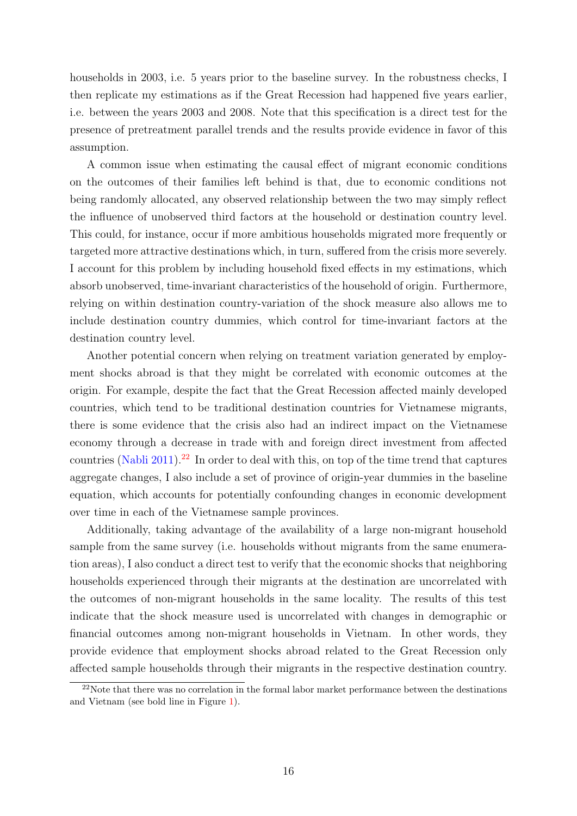households in 2003, i.e. 5 years prior to the baseline survey. In the robustness checks, I then replicate my estimations as if the Great Recession had happened five years earlier, i.e. between the years 2003 and 2008. Note that this specification is a direct test for the presence of pretreatment parallel trends and the results provide evidence in favor of this assumption.

A common issue when estimating the causal effect of migrant economic conditions on the outcomes of their families left behind is that, due to economic conditions not being randomly allocated, any observed relationship between the two may simply reflect the influence of unobserved third factors at the household or destination country level. This could, for instance, occur if more ambitious households migrated more frequently or targeted more attractive destinations which, in turn, suffered from the crisis more severely. I account for this problem by including household fixed effects in my estimations, which absorb unobserved, time-invariant characteristics of the household of origin. Furthermore, relying on within destination country-variation of the shock measure also allows me to include destination country dummies, which control for time-invariant factors at the destination country level.

Another potential concern when relying on treatment variation generated by employment shocks abroad is that they might be correlated with economic outcomes at the origin. For example, despite the fact that the Great Recession affected mainly developed countries, which tend to be traditional destination countries for Vietnamese migrants, there is some evidence that the crisis also had an indirect impact on the Vietnamese economy through a decrease in trade with and foreign direct investment from affected countries [\(Nabli](#page-29-11) [2011\)](#page-29-11).<sup>[22](#page-15-0)</sup> In order to deal with this, on top of the time trend that captures aggregate changes, I also include a set of province of origin-year dummies in the baseline equation, which accounts for potentially confounding changes in economic development over time in each of the Vietnamese sample provinces.

Additionally, taking advantage of the availability of a large non-migrant household sample from the same survey (i.e. households without migrants from the same enumeration areas), I also conduct a direct test to verify that the economic shocks that neighboring households experienced through their migrants at the destination are uncorrelated with the outcomes of non-migrant households in the same locality. The results of this test indicate that the shock measure used is uncorrelated with changes in demographic or financial outcomes among non-migrant households in Vietnam. In other words, they provide evidence that employment shocks abroad related to the Great Recession only affected sample households through their migrants in the respective destination country.

<span id="page-15-0"></span><sup>22</sup>Note that there was no correlation in the formal labor market performance between the destinations and Vietnam (see bold line in Figure [1\)](#page-32-0).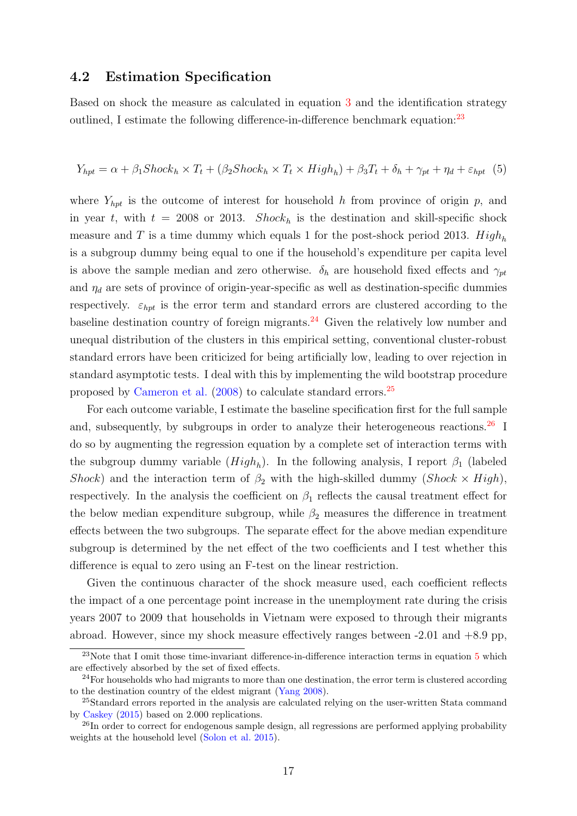#### 4.2 Estimation Specification

Based on shock the measure as calculated in equation [3](#page-13-2) and the identification strategy outlined, I estimate the following difference-in-difference benchmark equation:<sup>[23](#page-16-0)</sup>

<span id="page-16-4"></span>
$$
Y_{hpt} = \alpha + \beta_1 Shock_h \times T_t + (\beta_2 Shock_h \times T_t \times High_h) + \beta_3 T_t + \delta_h + \gamma_{pt} + \eta_d + \varepsilon_{hpt} \tag{5}
$$

where  $Y_{hpt}$  is the outcome of interest for household h from province of origin p, and in year t, with  $t = 2008$  or 2013. Shock<sub>h</sub> is the destination and skill-specific shock measure and T is a time dummy which equals 1 for the post-shock period 2013.  $High<sub>h</sub>$ is a subgroup dummy being equal to one if the household's expenditure per capita level is above the sample median and zero otherwise.  $\delta_h$  are household fixed effects and  $\gamma_{pt}$ and  $\eta_d$  are sets of province of origin-year-specific as well as destination-specific dummies respectively.  $\varepsilon_{hpt}$  is the error term and standard errors are clustered according to the baseline destination country of foreign migrants.[24](#page-16-1) Given the relatively low number and unequal distribution of the clusters in this empirical setting, conventional cluster-robust standard errors have been criticized for being artificially low, leading to over rejection in standard asymptotic tests. I deal with this by implementing the wild bootstrap procedure proposed by [Cameron et al.](#page-26-10) [\(2008\)](#page-26-10) to calculate standard errors.[25](#page-16-2)

For each outcome variable, I estimate the baseline specification first for the full sample and, subsequently, by subgroups in order to analyze their heterogeneous reactions.<sup>[26](#page-16-3)</sup> I do so by augmenting the regression equation by a complete set of interaction terms with the subgroup dummy variable  $(High_h)$ . In the following analysis, I report  $\beta_1$  (labeled Shock) and the interaction term of  $\beta_2$  with the high-skilled dummy (Shock  $\times$  High), respectively. In the analysis the coefficient on  $\beta_1$  reflects the causal treatment effect for the below median expenditure subgroup, while  $\beta_2$  measures the difference in treatment effects between the two subgroups. The separate effect for the above median expenditure subgroup is determined by the net effect of the two coefficients and I test whether this difference is equal to zero using an F-test on the linear restriction.

Given the continuous character of the shock measure used, each coefficient reflects the impact of a one percentage point increase in the unemployment rate during the crisis years 2007 to 2009 that households in Vietnam were exposed to through their migrants abroad. However, since my shock measure effectively ranges between -2.01 and +8.9 pp,

<span id="page-16-0"></span> $23$ Note that I omit those time-invariant difference-in-difference interaction terms in equation  $5$  which are effectively absorbed by the set of fixed effects.

<span id="page-16-1"></span> $24$ For households who had migrants to more than one destination, the error term is clustered according to the destination country of the eldest migrant [\(Yang](#page-31-6) [2008\)](#page-31-6).

<span id="page-16-2"></span><sup>&</sup>lt;sup>25</sup>Standard errors reported in the analysis are calculated relying on the user-written Stata command by [Caskey](#page-27-10) [\(2015\)](#page-27-10) based on 2.000 replications.

<span id="page-16-3"></span><sup>&</sup>lt;sup>26</sup>In order to correct for endogenous sample design, all regressions are performed applying probability weights at the household level [\(Solon et al.](#page-30-10) [2015\)](#page-30-10).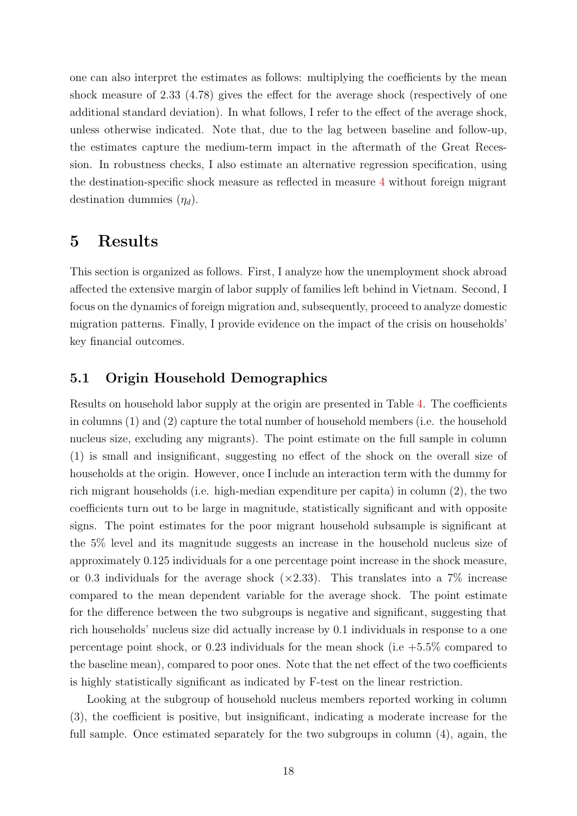one can also interpret the estimates as follows: multiplying the coefficients by the mean shock measure of 2.33 (4.78) gives the effect for the average shock (respectively of one additional standard deviation). In what follows, I refer to the effect of the average shock, unless otherwise indicated. Note that, due to the lag between baseline and follow-up, the estimates capture the medium-term impact in the aftermath of the Great Recession. In robustness checks, I also estimate an alternative regression specification, using the destination-specific shock measure as reflected in measure [4](#page-13-3) without foreign migrant destination dummies  $(\eta_d)$ .

## <span id="page-17-0"></span>5 Results

This section is organized as follows. First, I analyze how the unemployment shock abroad affected the extensive margin of labor supply of families left behind in Vietnam. Second, I focus on the dynamics of foreign migration and, subsequently, proceed to analyze domestic migration patterns. Finally, I provide evidence on the impact of the crisis on households' key financial outcomes.

#### 5.1 Origin Household Demographics

Results on household labor supply at the origin are presented in Table [4.](#page-35-0) The coefficients in columns (1) and (2) capture the total number of household members (i.e. the household nucleus size, excluding any migrants). The point estimate on the full sample in column (1) is small and insignificant, suggesting no effect of the shock on the overall size of households at the origin. However, once I include an interaction term with the dummy for rich migrant households (i.e. high-median expenditure per capita) in column (2), the two coefficients turn out to be large in magnitude, statistically significant and with opposite signs. The point estimates for the poor migrant household subsample is significant at the 5% level and its magnitude suggests an increase in the household nucleus size of approximately 0.125 individuals for a one percentage point increase in the shock measure, or 0.3 individuals for the average shock  $(\times 2.33)$ . This translates into a 7\% increase compared to the mean dependent variable for the average shock. The point estimate for the difference between the two subgroups is negative and significant, suggesting that rich households' nucleus size did actually increase by 0.1 individuals in response to a one percentage point shock, or 0.23 individuals for the mean shock (i.e  $+5.5\%$  compared to the baseline mean), compared to poor ones. Note that the net effect of the two coefficients is highly statistically significant as indicated by F-test on the linear restriction.

Looking at the subgroup of household nucleus members reported working in column (3), the coefficient is positive, but insignificant, indicating a moderate increase for the full sample. Once estimated separately for the two subgroups in column (4), again, the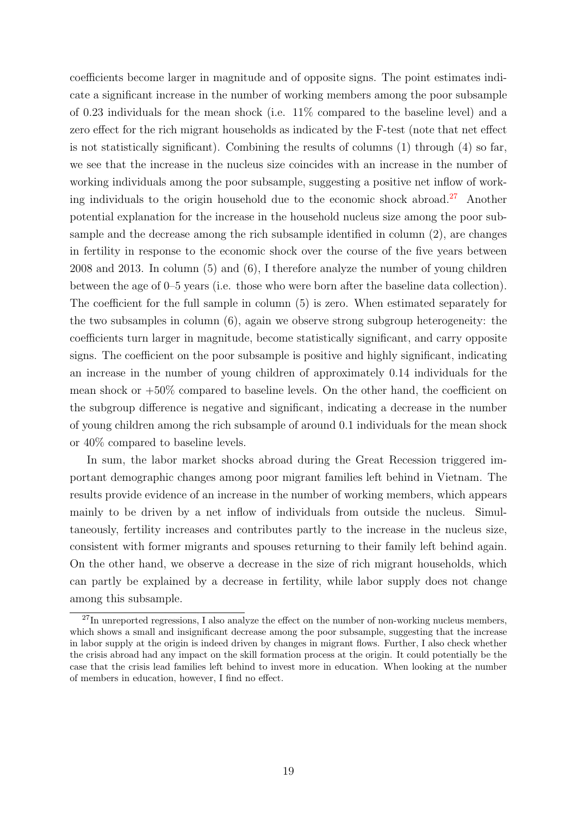coefficients become larger in magnitude and of opposite signs. The point estimates indicate a significant increase in the number of working members among the poor subsample of 0.23 individuals for the mean shock (i.e. 11% compared to the baseline level) and a zero effect for the rich migrant households as indicated by the F-test (note that net effect is not statistically significant). Combining the results of columns (1) through (4) so far, we see that the increase in the nucleus size coincides with an increase in the number of working individuals among the poor subsample, suggesting a positive net inflow of work-ing individuals to the origin household due to the economic shock abroad.<sup>[27](#page-18-0)</sup> Another potential explanation for the increase in the household nucleus size among the poor subsample and the decrease among the rich subsample identified in column (2), are changes in fertility in response to the economic shock over the course of the five years between 2008 and 2013. In column (5) and (6), I therefore analyze the number of young children between the age of 0–5 years (i.e. those who were born after the baseline data collection). The coefficient for the full sample in column (5) is zero. When estimated separately for the two subsamples in column (6), again we observe strong subgroup heterogeneity: the coefficients turn larger in magnitude, become statistically significant, and carry opposite signs. The coefficient on the poor subsample is positive and highly significant, indicating an increase in the number of young children of approximately 0.14 individuals for the mean shock or  $+50\%$  compared to baseline levels. On the other hand, the coefficient on the subgroup difference is negative and significant, indicating a decrease in the number of young children among the rich subsample of around 0.1 individuals for the mean shock or 40% compared to baseline levels.

In sum, the labor market shocks abroad during the Great Recession triggered important demographic changes among poor migrant families left behind in Vietnam. The results provide evidence of an increase in the number of working members, which appears mainly to be driven by a net inflow of individuals from outside the nucleus. Simultaneously, fertility increases and contributes partly to the increase in the nucleus size, consistent with former migrants and spouses returning to their family left behind again. On the other hand, we observe a decrease in the size of rich migrant households, which can partly be explained by a decrease in fertility, while labor supply does not change among this subsample.

<span id="page-18-0"></span> $^{27}$ In unreported regressions, I also analyze the effect on the number of non-working nucleus members, which shows a small and insignificant decrease among the poor subsample, suggesting that the increase in labor supply at the origin is indeed driven by changes in migrant flows. Further, I also check whether the crisis abroad had any impact on the skill formation process at the origin. It could potentially be the case that the crisis lead families left behind to invest more in education. When looking at the number of members in education, however, I find no effect.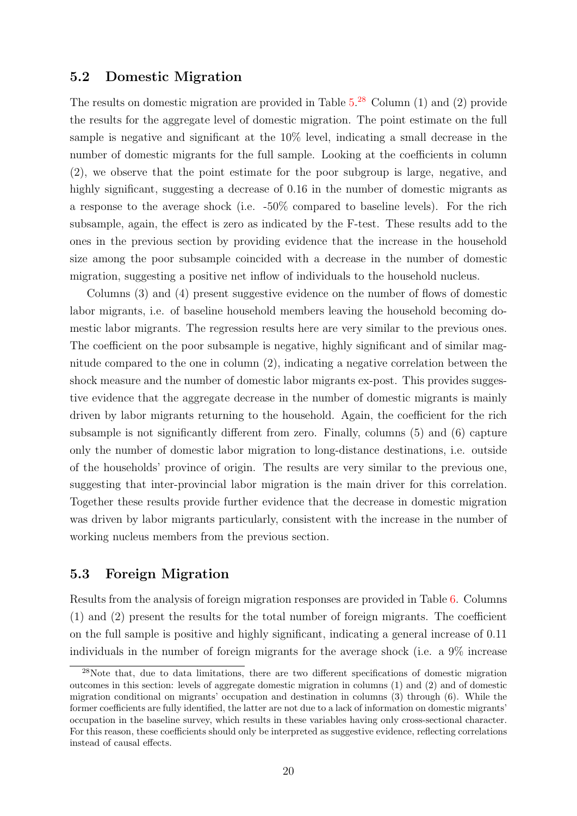#### 5.2 Domestic Migration

The results on domestic migration are provided in Table  $5.^{28}$  $5.^{28}$  $5.^{28}$  $5.^{28}$  Column (1) and (2) provide the results for the aggregate level of domestic migration. The point estimate on the full sample is negative and significant at the 10% level, indicating a small decrease in the number of domestic migrants for the full sample. Looking at the coefficients in column (2), we observe that the point estimate for the poor subgroup is large, negative, and highly significant, suggesting a decrease of 0.16 in the number of domestic migrants as a response to the average shock (i.e. -50% compared to baseline levels). For the rich subsample, again, the effect is zero as indicated by the F-test. These results add to the ones in the previous section by providing evidence that the increase in the household size among the poor subsample coincided with a decrease in the number of domestic migration, suggesting a positive net inflow of individuals to the household nucleus.

Columns (3) and (4) present suggestive evidence on the number of flows of domestic labor migrants, i.e. of baseline household members leaving the household becoming domestic labor migrants. The regression results here are very similar to the previous ones. The coefficient on the poor subsample is negative, highly significant and of similar magnitude compared to the one in column (2), indicating a negative correlation between the shock measure and the number of domestic labor migrants ex-post. This provides suggestive evidence that the aggregate decrease in the number of domestic migrants is mainly driven by labor migrants returning to the household. Again, the coefficient for the rich subsample is not significantly different from zero. Finally, columns (5) and (6) capture only the number of domestic labor migration to long-distance destinations, i.e. outside of the households' province of origin. The results are very similar to the previous one, suggesting that inter-provincial labor migration is the main driver for this correlation. Together these results provide further evidence that the decrease in domestic migration was driven by labor migrants particularly, consistent with the increase in the number of working nucleus members from the previous section.

#### 5.3 Foreign Migration

Results from the analysis of foreign migration responses are provided in Table [6.](#page-36-0) Columns (1) and (2) present the results for the total number of foreign migrants. The coefficient on the full sample is positive and highly significant, indicating a general increase of 0.11 individuals in the number of foreign migrants for the average shock (i.e. a 9% increase

<span id="page-19-0"></span><sup>&</sup>lt;sup>28</sup>Note that, due to data limitations, there are two different specifications of domestic migration outcomes in this section: levels of aggregate domestic migration in columns (1) and (2) and of domestic migration conditional on migrants' occupation and destination in columns (3) through (6). While the former coefficients are fully identified, the latter are not due to a lack of information on domestic migrants' occupation in the baseline survey, which results in these variables having only cross-sectional character. For this reason, these coefficients should only be interpreted as suggestive evidence, reflecting correlations instead of causal effects.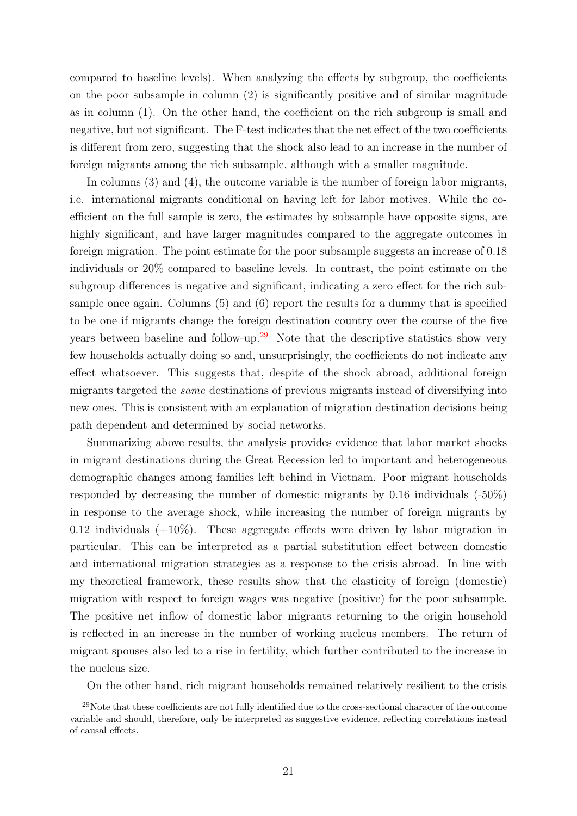compared to baseline levels). When analyzing the effects by subgroup, the coefficients on the poor subsample in column (2) is significantly positive and of similar magnitude as in column (1). On the other hand, the coefficient on the rich subgroup is small and negative, but not significant. The F-test indicates that the net effect of the two coefficients is different from zero, suggesting that the shock also lead to an increase in the number of foreign migrants among the rich subsample, although with a smaller magnitude.

In columns (3) and (4), the outcome variable is the number of foreign labor migrants, i.e. international migrants conditional on having left for labor motives. While the coefficient on the full sample is zero, the estimates by subsample have opposite signs, are highly significant, and have larger magnitudes compared to the aggregate outcomes in foreign migration. The point estimate for the poor subsample suggests an increase of 0.18 individuals or 20% compared to baseline levels. In contrast, the point estimate on the subgroup differences is negative and significant, indicating a zero effect for the rich subsample once again. Columns (5) and (6) report the results for a dummy that is specified to be one if migrants change the foreign destination country over the course of the five years between baseline and follow-up.<sup>[29](#page-20-0)</sup> Note that the descriptive statistics show very few households actually doing so and, unsurprisingly, the coefficients do not indicate any effect whatsoever. This suggests that, despite of the shock abroad, additional foreign migrants targeted the same destinations of previous migrants instead of diversifying into new ones. This is consistent with an explanation of migration destination decisions being path dependent and determined by social networks.

Summarizing above results, the analysis provides evidence that labor market shocks in migrant destinations during the Great Recession led to important and heterogeneous demographic changes among families left behind in Vietnam. Poor migrant households responded by decreasing the number of domestic migrants by 0.16 individuals (-50%) in response to the average shock, while increasing the number of foreign migrants by 0.12 individuals  $(+10\%)$ . These aggregate effects were driven by labor migration in particular. This can be interpreted as a partial substitution effect between domestic and international migration strategies as a response to the crisis abroad. In line with my theoretical framework, these results show that the elasticity of foreign (domestic) migration with respect to foreign wages was negative (positive) for the poor subsample. The positive net inflow of domestic labor migrants returning to the origin household is reflected in an increase in the number of working nucleus members. The return of migrant spouses also led to a rise in fertility, which further contributed to the increase in the nucleus size.

<span id="page-20-0"></span>On the other hand, rich migrant households remained relatively resilient to the crisis

<sup>&</sup>lt;sup>29</sup>Note that these coefficients are not fully identified due to the cross-sectional character of the outcome variable and should, therefore, only be interpreted as suggestive evidence, reflecting correlations instead of causal effects.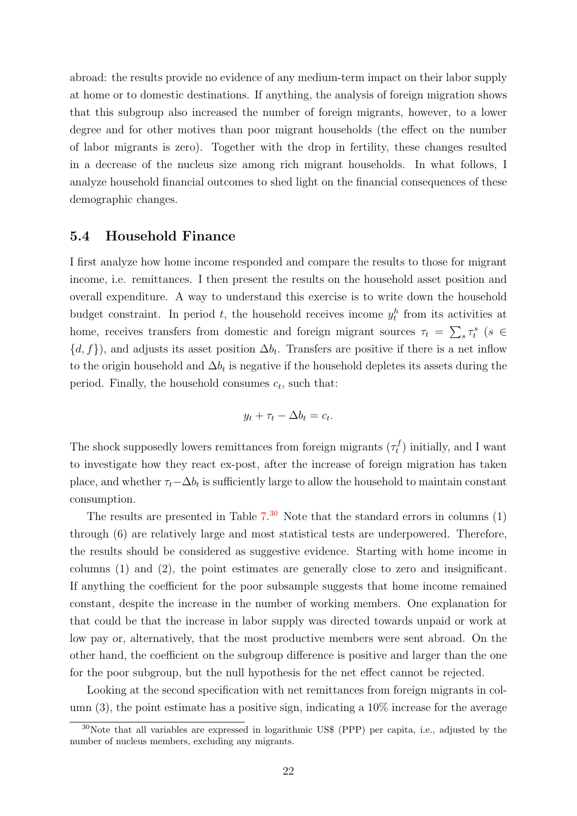abroad: the results provide no evidence of any medium-term impact on their labor supply at home or to domestic destinations. If anything, the analysis of foreign migration shows that this subgroup also increased the number of foreign migrants, however, to a lower degree and for other motives than poor migrant households (the effect on the number of labor migrants is zero). Together with the drop in fertility, these changes resulted in a decrease of the nucleus size among rich migrant households. In what follows, I analyze household financial outcomes to shed light on the financial consequences of these demographic changes.

#### 5.4 Household Finance

I first analyze how home income responded and compare the results to those for migrant income, i.e. remittances. I then present the results on the household asset position and overall expenditure. A way to understand this exercise is to write down the household budget constraint. In period t, the household receives income  $y_t^h$  from its activities at home, receives transfers from domestic and foreign migrant sources  $\tau_t = \sum_s \tau_t^s$  ( $s \in$  $\{d, f\}$ , and adjusts its asset position  $\Delta b_t$ . Transfers are positive if there is a net inflow to the origin household and  $\Delta b_t$  is negative if the household depletes its assets during the period. Finally, the household consumes  $c_t$ , such that:

$$
y_t + \tau_t - \Delta b_t = c_t.
$$

The shock supposedly lowers remittances from foreign migrants  $(\tau_t^f)$  $(t<sub>t</sub><sup>t</sup>)$  initially, and I want to investigate how they react ex-post, after the increase of foreign migration has taken place, and whether  $\tau_t-\Delta b_t$  is sufficiently large to allow the household to maintain constant consumption.

The results are presented in Table  $7<sup>30</sup>$  $7<sup>30</sup>$  $7<sup>30</sup>$  Note that the standard errors in columns  $(1)$ through (6) are relatively large and most statistical tests are underpowered. Therefore, the results should be considered as suggestive evidence. Starting with home income in columns (1) and (2), the point estimates are generally close to zero and insignificant. If anything the coefficient for the poor subsample suggests that home income remained constant, despite the increase in the number of working members. One explanation for that could be that the increase in labor supply was directed towards unpaid or work at low pay or, alternatively, that the most productive members were sent abroad. On the other hand, the coefficient on the subgroup difference is positive and larger than the one for the poor subgroup, but the null hypothesis for the net effect cannot be rejected.

Looking at the second specification with net remittances from foreign migrants in column  $(3)$ , the point estimate has a positive sign, indicating a  $10\%$  increase for the average

<span id="page-21-0"></span><sup>30</sup>Note that all variables are expressed in logarithmic US\$ (PPP) per capita, i.e., adjusted by the number of nucleus members, excluding any migrants.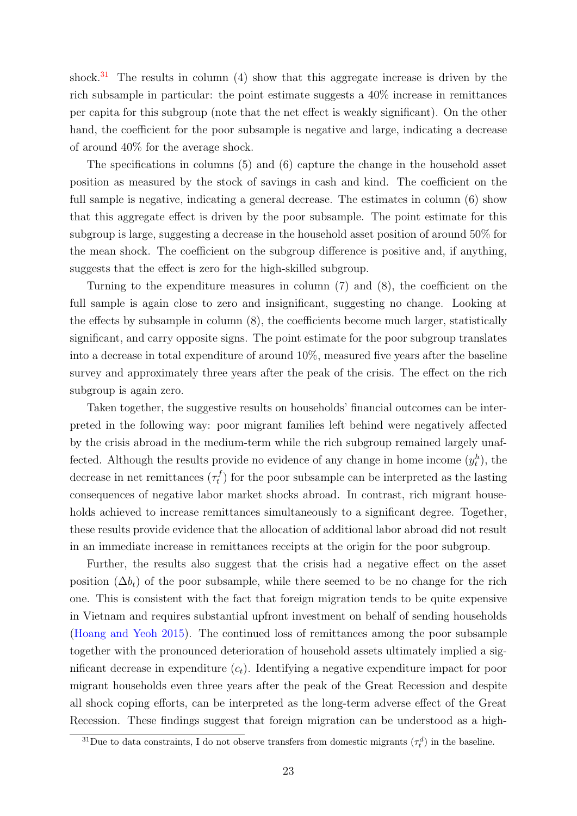shock. $31$  The results in column (4) show that this aggregate increase is driven by the rich subsample in particular: the point estimate suggests a 40% increase in remittances per capita for this subgroup (note that the net effect is weakly significant). On the other hand, the coefficient for the poor subsample is negative and large, indicating a decrease of around 40% for the average shock.

The specifications in columns (5) and (6) capture the change in the household asset position as measured by the stock of savings in cash and kind. The coefficient on the full sample is negative, indicating a general decrease. The estimates in column  $(6)$  show that this aggregate effect is driven by the poor subsample. The point estimate for this subgroup is large, suggesting a decrease in the household asset position of around 50% for the mean shock. The coefficient on the subgroup difference is positive and, if anything, suggests that the effect is zero for the high-skilled subgroup.

Turning to the expenditure measures in column (7) and (8), the coefficient on the full sample is again close to zero and insignificant, suggesting no change. Looking at the effects by subsample in column (8), the coefficients become much larger, statistically significant, and carry opposite signs. The point estimate for the poor subgroup translates into a decrease in total expenditure of around 10%, measured five years after the baseline survey and approximately three years after the peak of the crisis. The effect on the rich subgroup is again zero.

Taken together, the suggestive results on households' financial outcomes can be interpreted in the following way: poor migrant families left behind were negatively affected by the crisis abroad in the medium-term while the rich subgroup remained largely unaffected. Although the results provide no evidence of any change in home income  $(y_t^h)$ , the decrease in net remittances  $(\tau_t^f)$  $t_t^{(t)}$  for the poor subsample can be interpreted as the lasting consequences of negative labor market shocks abroad. In contrast, rich migrant households achieved to increase remittances simultaneously to a significant degree. Together, these results provide evidence that the allocation of additional labor abroad did not result in an immediate increase in remittances receipts at the origin for the poor subgroup.

Further, the results also suggest that the crisis had a negative effect on the asset position  $(\Delta b_t)$  of the poor subsample, while there seemed to be no change for the rich one. This is consistent with the fact that foreign migration tends to be quite expensive in Vietnam and requires substantial upfront investment on behalf of sending households [\(Hoang and Yeoh](#page-28-12) [2015\)](#page-28-12). The continued loss of remittances among the poor subsample together with the pronounced deterioration of household assets ultimately implied a significant decrease in expenditure  $(c_t)$ . Identifying a negative expenditure impact for poor migrant households even three years after the peak of the Great Recession and despite all shock coping efforts, can be interpreted as the long-term adverse effect of the Great Recession. These findings suggest that foreign migration can be understood as a high-

<span id="page-22-0"></span><sup>&</sup>lt;sup>31</sup>Due to data constraints, I do not observe transfers from domestic migrants  $(\tau_t^d)$  in the baseline.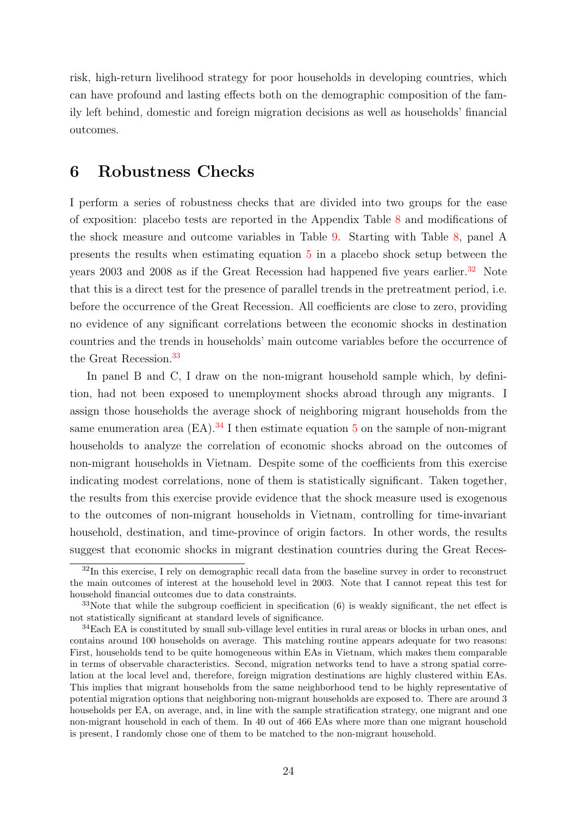risk, high-return livelihood strategy for poor households in developing countries, which can have profound and lasting effects both on the demographic composition of the family left behind, domestic and foreign migration decisions as well as households' financial outcomes.

#### <span id="page-23-0"></span>6 Robustness Checks

I perform a series of robustness checks that are divided into two groups for the ease of exposition: placebo tests are reported in the Appendix Table [8](#page-37-0) and modifications of the shock measure and outcome variables in Table [9.](#page-38-0) Starting with Table [8,](#page-37-0) panel A presents the results when estimating equation [5](#page-16-4) in a placebo shock setup between the years 2003 and 2008 as if the Great Recession had happened five years earlier.<sup>[32](#page-23-1)</sup> Note that this is a direct test for the presence of parallel trends in the pretreatment period, i.e. before the occurrence of the Great Recession. All coefficients are close to zero, providing no evidence of any significant correlations between the economic shocks in destination countries and the trends in households' main outcome variables before the occurrence of the Great Recession.<sup>[33](#page-23-2)</sup>

In panel B and C, I draw on the non-migrant household sample which, by definition, had not been exposed to unemployment shocks abroad through any migrants. I assign those households the average shock of neighboring migrant households from the same enumeration area  $(EA)$ .<sup>[34](#page-23-3)</sup> I then estimate equation [5](#page-16-4) on the sample of non-migrant households to analyze the correlation of economic shocks abroad on the outcomes of non-migrant households in Vietnam. Despite some of the coefficients from this exercise indicating modest correlations, none of them is statistically significant. Taken together, the results from this exercise provide evidence that the shock measure used is exogenous to the outcomes of non-migrant households in Vietnam, controlling for time-invariant household, destination, and time-province of origin factors. In other words, the results suggest that economic shocks in migrant destination countries during the Great Reces-

<span id="page-23-1"></span> $32$ In this exercise, I rely on demographic recall data from the baseline survey in order to reconstruct the main outcomes of interest at the household level in 2003. Note that I cannot repeat this test for household financial outcomes due to data constraints.

<span id="page-23-2"></span> $33$ Note that while the subgroup coefficient in specification (6) is weakly significant, the net effect is not statistically significant at standard levels of significance.

<span id="page-23-3"></span><sup>34</sup>Each EA is constituted by small sub-village level entities in rural areas or blocks in urban ones, and contains around 100 households on average. This matching routine appears adequate for two reasons: First, households tend to be quite homogeneous within EAs in Vietnam, which makes them comparable in terms of observable characteristics. Second, migration networks tend to have a strong spatial correlation at the local level and, therefore, foreign migration destinations are highly clustered within EAs. This implies that migrant households from the same neighborhood tend to be highly representative of potential migration options that neighboring non-migrant households are exposed to. There are around 3 households per EA, on average, and, in line with the sample stratification strategy, one migrant and one non-migrant household in each of them. In 40 out of 466 EAs where more than one migrant household is present, I randomly chose one of them to be matched to the non-migrant household.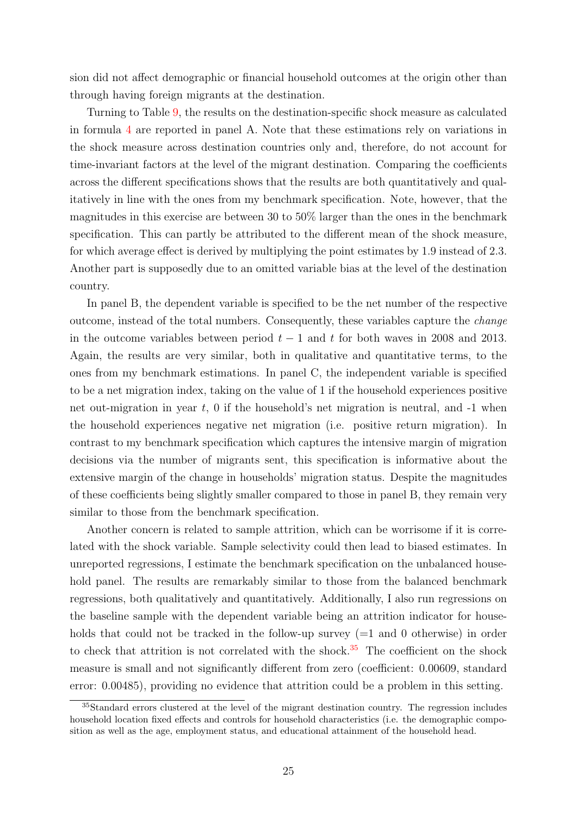sion did not affect demographic or financial household outcomes at the origin other than through having foreign migrants at the destination.

Turning to Table [9,](#page-38-0) the results on the destination-specific shock measure as calculated in formula [4](#page-13-3) are reported in panel A. Note that these estimations rely on variations in the shock measure across destination countries only and, therefore, do not account for time-invariant factors at the level of the migrant destination. Comparing the coefficients across the different specifications shows that the results are both quantitatively and qualitatively in line with the ones from my benchmark specification. Note, however, that the magnitudes in this exercise are between 30 to 50% larger than the ones in the benchmark specification. This can partly be attributed to the different mean of the shock measure, for which average effect is derived by multiplying the point estimates by 1.9 instead of 2.3. Another part is supposedly due to an omitted variable bias at the level of the destination country.

In panel B, the dependent variable is specified to be the net number of the respective outcome, instead of the total numbers. Consequently, these variables capture the change in the outcome variables between period  $t - 1$  and t for both waves in 2008 and 2013. Again, the results are very similar, both in qualitative and quantitative terms, to the ones from my benchmark estimations. In panel C, the independent variable is specified to be a net migration index, taking on the value of 1 if the household experiences positive net out-migration in year  $t$ , 0 if the household's net migration is neutral, and  $-1$  when the household experiences negative net migration (i.e. positive return migration). In contrast to my benchmark specification which captures the intensive margin of migration decisions via the number of migrants sent, this specification is informative about the extensive margin of the change in households' migration status. Despite the magnitudes of these coefficients being slightly smaller compared to those in panel B, they remain very similar to those from the benchmark specification.

Another concern is related to sample attrition, which can be worrisome if it is correlated with the shock variable. Sample selectivity could then lead to biased estimates. In unreported regressions, I estimate the benchmark specification on the unbalanced household panel. The results are remarkably similar to those from the balanced benchmark regressions, both qualitatively and quantitatively. Additionally, I also run regressions on the baseline sample with the dependent variable being an attrition indicator for households that could not be tracked in the follow-up survey  $(=1 \text{ and } 0 \text{ otherwise})$  in order to check that attrition is not correlated with the shock.<sup>[35](#page-24-0)</sup> The coefficient on the shock measure is small and not significantly different from zero (coefficient: 0.00609, standard error: 0.00485), providing no evidence that attrition could be a problem in this setting.

<span id="page-24-0"></span><sup>&</sup>lt;sup>35</sup>Standard errors clustered at the level of the migrant destination country. The regression includes household location fixed effects and controls for household characteristics (i.e. the demographic composition as well as the age, employment status, and educational attainment of the household head.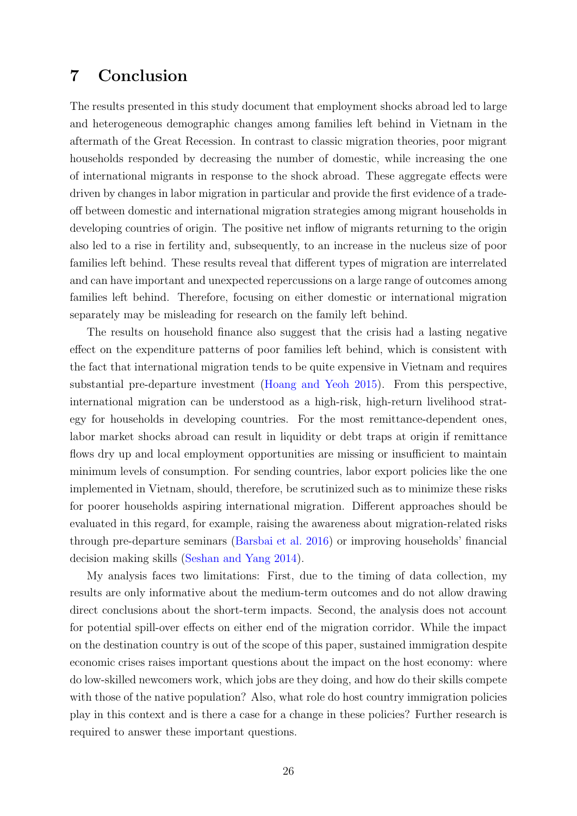## <span id="page-25-0"></span>7 Conclusion

The results presented in this study document that employment shocks abroad led to large and heterogeneous demographic changes among families left behind in Vietnam in the aftermath of the Great Recession. In contrast to classic migration theories, poor migrant households responded by decreasing the number of domestic, while increasing the one of international migrants in response to the shock abroad. These aggregate effects were driven by changes in labor migration in particular and provide the first evidence of a tradeoff between domestic and international migration strategies among migrant households in developing countries of origin. The positive net inflow of migrants returning to the origin also led to a rise in fertility and, subsequently, to an increase in the nucleus size of poor families left behind. These results reveal that different types of migration are interrelated and can have important and unexpected repercussions on a large range of outcomes among families left behind. Therefore, focusing on either domestic or international migration separately may be misleading for research on the family left behind.

The results on household finance also suggest that the crisis had a lasting negative effect on the expenditure patterns of poor families left behind, which is consistent with the fact that international migration tends to be quite expensive in Vietnam and requires substantial pre-departure investment [\(Hoang and Yeoh](#page-28-12) [2015\)](#page-28-12). From this perspective, international migration can be understood as a high-risk, high-return livelihood strategy for households in developing countries. For the most remittance-dependent ones, labor market shocks abroad can result in liquidity or debt traps at origin if remittance flows dry up and local employment opportunities are missing or insufficient to maintain minimum levels of consumption. For sending countries, labor export policies like the one implemented in Vietnam, should, therefore, be scrutinized such as to minimize these risks for poorer households aspiring international migration. Different approaches should be evaluated in this regard, for example, raising the awareness about migration-related risks through pre-departure seminars [\(Barsbai et al.](#page-26-11) [2016\)](#page-26-11) or improving households' financial decision making skills [\(Seshan and Yang](#page-30-11) [2014\)](#page-30-11).

My analysis faces two limitations: First, due to the timing of data collection, my results are only informative about the medium-term outcomes and do not allow drawing direct conclusions about the short-term impacts. Second, the analysis does not account for potential spill-over effects on either end of the migration corridor. While the impact on the destination country is out of the scope of this paper, sustained immigration despite economic crises raises important questions about the impact on the host economy: where do low-skilled newcomers work, which jobs are they doing, and how do their skills compete with those of the native population? Also, what role do host country immigration policies play in this context and is there a case for a change in these policies? Further research is required to answer these important questions.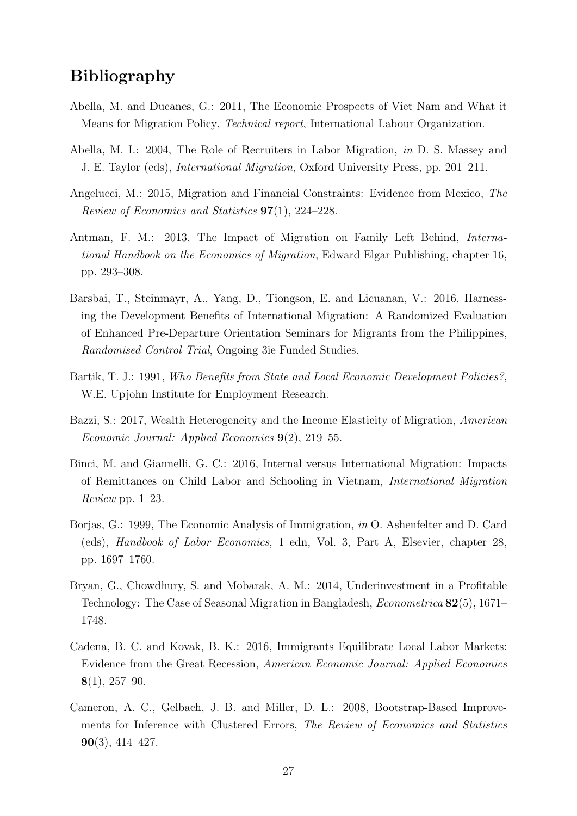## Bibliography

- <span id="page-26-0"></span>Abella, M. and Ducanes, G.: 2011, The Economic Prospects of Viet Nam and What it Means for Migration Policy, Technical report, International Labour Organization.
- <span id="page-26-7"></span>Abella, M. I.: 2004, The Role of Recruiters in Labor Migration, in D. S. Massey and J. E. Taylor (eds), International Migration, Oxford University Press, pp. 201–211.
- <span id="page-26-3"></span>Angelucci, M.: 2015, Migration and Financial Constraints: Evidence from Mexico, The Review of Economics and Statistics 97(1), 224–228.
- <span id="page-26-5"></span>Antman, F. M.: 2013, The Impact of Migration on Family Left Behind, International Handbook on the Economics of Migration, Edward Elgar Publishing, chapter 16, pp. 293–308.
- <span id="page-26-11"></span>Barsbai, T., Steinmayr, A., Yang, D., Tiongson, E. and Licuanan, V.: 2016, Harnessing the Development Benefits of International Migration: A Randomized Evaluation of Enhanced Pre-Departure Orientation Seminars for Migrants from the Philippines, Randomised Control Trial, Ongoing 3ie Funded Studies.
- <span id="page-26-9"></span>Bartik, T. J.: 1991, Who Benefits from State and Local Economic Development Policies?, W.E. Upjohn Institute for Employment Research.
- <span id="page-26-4"></span>Bazzi, S.: 2017, Wealth Heterogeneity and the Income Elasticity of Migration, American Economic Journal: Applied Economics 9(2), 219–55.
- <span id="page-26-8"></span>Binci, M. and Giannelli, G. C.: 2016, Internal versus International Migration: Impacts of Remittances on Child Labor and Schooling in Vietnam, International Migration Review pp. 1–23.
- <span id="page-26-1"></span>Borjas, G.: 1999, The Economic Analysis of Immigration, in O. Ashenfelter and D. Card (eds), Handbook of Labor Economics, 1 edn, Vol. 3, Part A, Elsevier, chapter 28, pp. 1697–1760.
- <span id="page-26-2"></span>Bryan, G., Chowdhury, S. and Mobarak, A. M.: 2014, Underinvestment in a Profitable Technology: The Case of Seasonal Migration in Bangladesh, Econometrica 82(5), 1671– 1748.
- <span id="page-26-6"></span>Cadena, B. C. and Kovak, B. K.: 2016, Immigrants Equilibrate Local Labor Markets: Evidence from the Great Recession, American Economic Journal: Applied Economics  $8(1), 257-90.$
- <span id="page-26-10"></span>Cameron, A. C., Gelbach, J. B. and Miller, D. L.: 2008, Bootstrap-Based Improvements for Inference with Clustered Errors, The Review of Economics and Statistics 90(3), 414–427.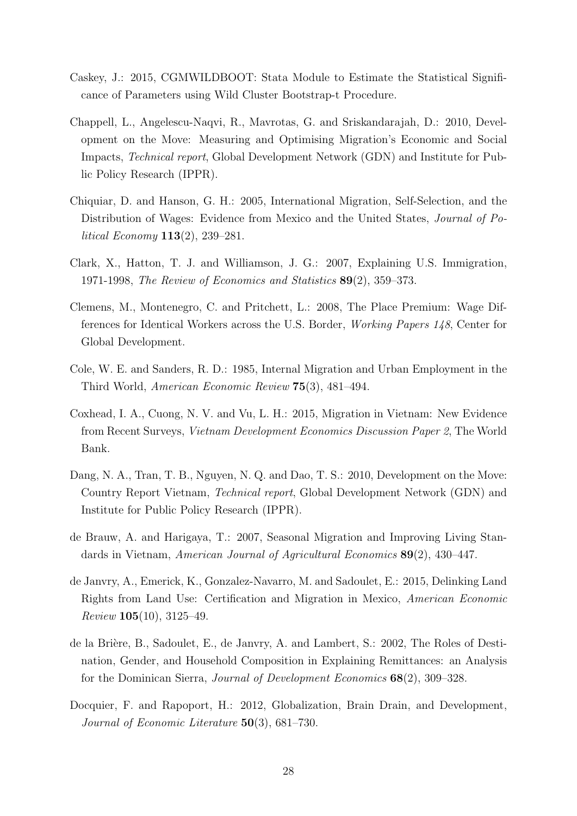- <span id="page-27-10"></span>Caskey, J.: 2015, CGMWILDBOOT: Stata Module to Estimate the Statistical Significance of Parameters using Wild Cluster Bootstrap-t Procedure.
- <span id="page-27-9"></span>Chappell, L., Angelescu-Naqvi, R., Mavrotas, G. and Sriskandarajah, D.: 2010, Development on the Move: Measuring and Optimising Migration's Economic and Social Impacts, Technical report, Global Development Network (GDN) and Institute for Public Policy Research (IPPR).
- <span id="page-27-4"></span>Chiquiar, D. and Hanson, G. H.: 2005, International Migration, Self-Selection, and the Distribution of Wages: Evidence from Mexico and the United States, Journal of Political Economy 113(2), 239–281.
- <span id="page-27-2"></span>Clark, X., Hatton, T. J. and Williamson, J. G.: 2007, Explaining U.S. Immigration, 1971-1998, The Review of Economics and Statistics 89(2), 359–373.
- <span id="page-27-11"></span>Clemens, M., Montenegro, C. and Pritchett, L.: 2008, The Place Premium: Wage Differences for Identical Workers across the U.S. Border, Working Papers 148, Center for Global Development.
- <span id="page-27-1"></span>Cole, W. E. and Sanders, R. D.: 1985, Internal Migration and Urban Employment in the Third World, American Economic Review 75(3), 481–494.
- <span id="page-27-7"></span>Coxhead, I. A., Cuong, N. V. and Vu, L. H.: 2015, Migration in Vietnam: New Evidence from Recent Surveys, Vietnam Development Economics Discussion Paper 2, The World Bank.
- <span id="page-27-0"></span>Dang, N. A., Tran, T. B., Nguyen, N. Q. and Dao, T. S.: 2010, Development on the Move: Country Report Vietnam, Technical report, Global Development Network (GDN) and Institute for Public Policy Research (IPPR).
- <span id="page-27-8"></span>de Brauw, A. and Harigaya, T.: 2007, Seasonal Migration and Improving Living Standards in Vietnam, American Journal of Agricultural Economics 89(2), 430–447.
- <span id="page-27-5"></span>de Janvry, A., Emerick, K., Gonzalez-Navarro, M. and Sadoulet, E.: 2015, Delinking Land Rights from Land Use: Certification and Migration in Mexico, American Economic  $Review 105(10), 3125-49.$
- <span id="page-27-3"></span>de la Brière, B., Sadoulet, E., de Janvry, A. and Lambert, S.: 2002, The Roles of Destination, Gender, and Household Composition in Explaining Remittances: an Analysis for the Dominican Sierra, Journal of Development Economics 68(2), 309–328.
- <span id="page-27-6"></span>Docquier, F. and Rapoport, H.: 2012, Globalization, Brain Drain, and Development, Journal of Economic Literature 50(3), 681–730.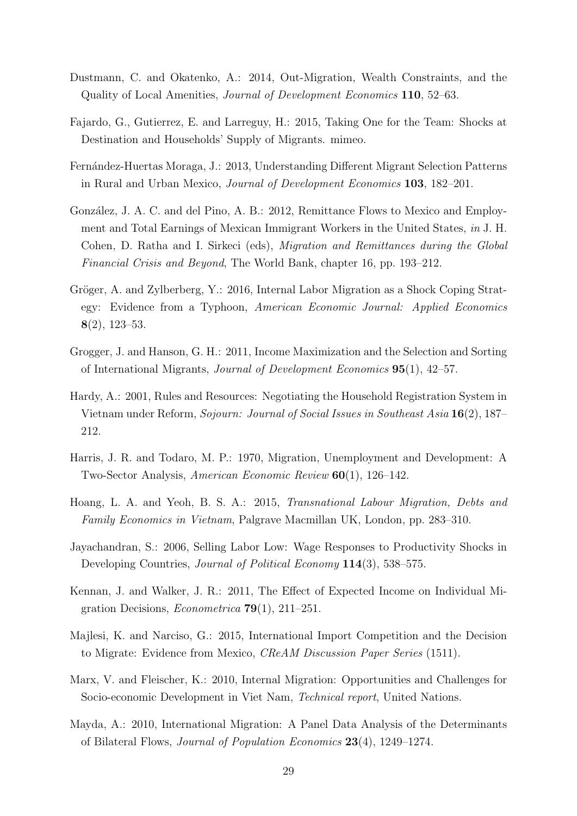- <span id="page-28-7"></span>Dustmann, C. and Okatenko, A.: 2014, Out-Migration, Wealth Constraints, and the Quality of Local Amenities, Journal of Development Economics 110, 52–63.
- <span id="page-28-8"></span>Fajardo, G., Gutierrez, E. and Larreguy, H.: 2015, Taking One for the Team: Shocks at Destination and Households' Supply of Migrants. mimeo.
- <span id="page-28-5"></span>Fern´andez-Huertas Moraga, J.: 2013, Understanding Different Migrant Selection Patterns in Rural and Urban Mexico, Journal of Development Economics 103, 182–201.
- <span id="page-28-13"></span>González, J. A. C. and del Pino, A. B.: 2012, Remittance Flows to Mexico and Employment and Total Earnings of Mexican Immigrant Workers in the United States, in J. H. Cohen, D. Ratha and I. Sirkeci (eds), Migration and Remittances during the Global Financial Crisis and Beyond, The World Bank, chapter 16, pp. 193–212.
- <span id="page-28-4"></span>Gröger, A. and Zylberberg, Y.: 2016, Internal Labor Migration as a Shock Coping Strategy: Evidence from a Typhoon, American Economic Journal: Applied Economics 8(2), 123–53.
- <span id="page-28-6"></span>Grogger, J. and Hanson, G. H.: 2011, Income Maximization and the Selection and Sorting of International Migrants, Journal of Development Economics 95(1), 42–57.
- <span id="page-28-11"></span>Hardy, A.: 2001, Rules and Resources: Negotiating the Household Registration System in Vietnam under Reform, Sojourn: Journal of Social Issues in Southeast Asia 16(2), 187– 212.
- <span id="page-28-1"></span>Harris, J. R. and Todaro, M. P.: 1970, Migration, Unemployment and Development: A Two-Sector Analysis, American Economic Review 60(1), 126–142.
- <span id="page-28-12"></span>Hoang, L. A. and Yeoh, B. S. A.: 2015, Transnational Labour Migration, Debts and Family Economics in Vietnam, Palgrave Macmillan UK, London, pp. 283–310.
- <span id="page-28-10"></span>Jayachandran, S.: 2006, Selling Labor Low: Wage Responses to Productivity Shocks in Developing Countries, *Journal of Political Economy* 114(3), 538–575.
- <span id="page-28-2"></span>Kennan, J. and Walker, J. R.: 2011, The Effect of Expected Income on Individual Migration Decisions, *Econometrica* **79**(1), 211–251.
- <span id="page-28-9"></span>Majlesi, K. and Narciso, G.: 2015, International Import Competition and the Decision to Migrate: Evidence from Mexico, CReAM Discussion Paper Series (1511).
- <span id="page-28-0"></span>Marx, V. and Fleischer, K.: 2010, Internal Migration: Opportunities and Challenges for Socio-economic Development in Viet Nam, Technical report, United Nations.
- <span id="page-28-3"></span>Mayda, A.: 2010, International Migration: A Panel Data Analysis of the Determinants of Bilateral Flows, Journal of Population Economics 23(4), 1249–1274.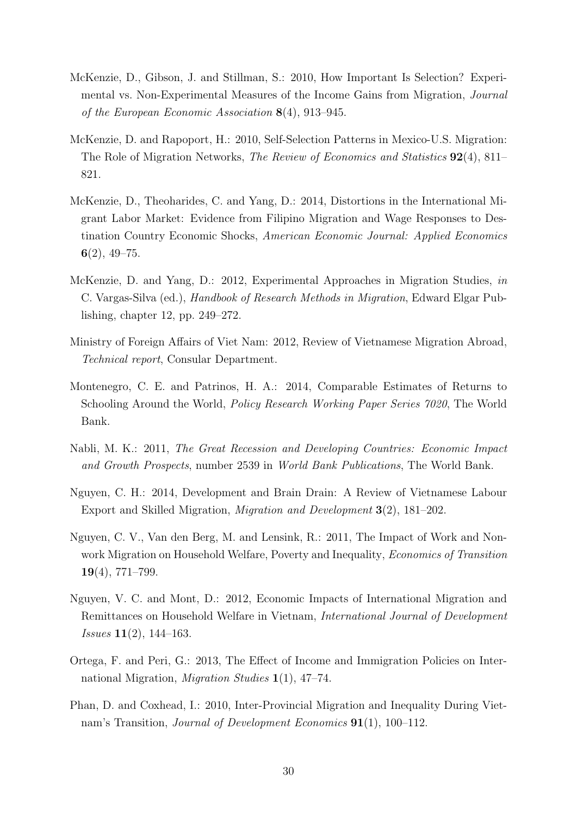- <span id="page-29-0"></span>McKenzie, D., Gibson, J. and Stillman, S.: 2010, How Important Is Selection? Experimental vs. Non-Experimental Measures of the Income Gains from Migration, Journal of the European Economic Association 8(4), 913–945.
- <span id="page-29-3"></span>McKenzie, D. and Rapoport, H.: 2010, Self-Selection Patterns in Mexico-U.S. Migration: The Role of Migration Networks, *The Review of Economics and Statistics* **92**(4), 811– 821.
- <span id="page-29-4"></span>McKenzie, D., Theoharides, C. and Yang, D.: 2014, Distortions in the International Migrant Labor Market: Evidence from Filipino Migration and Wage Responses to Destination Country Economic Shocks, American Economic Journal: Applied Economics  $6(2), 49-75.$
- <span id="page-29-1"></span>McKenzie, D. and Yang, D.: 2012, Experimental Approaches in Migration Studies, in C. Vargas-Silva (ed.), Handbook of Research Methods in Migration, Edward Elgar Publishing, chapter 12, pp. 249–272.
- <span id="page-29-7"></span>Ministry of Foreign Affairs of Viet Nam: 2012, Review of Vietnamese Migration Abroad, Technical report, Consular Department.
- <span id="page-29-5"></span>Montenegro, C. E. and Patrinos, H. A.: 2014, Comparable Estimates of Returns to Schooling Around the World, Policy Research Working Paper Series 7020, The World Bank.
- <span id="page-29-11"></span>Nabli, M. K.: 2011, The Great Recession and Developing Countries: Economic Impact and Growth Prospects, number 2539 in World Bank Publications, The World Bank.
- <span id="page-29-8"></span>Nguyen, C. H.: 2014, Development and Brain Drain: A Review of Vietnamese Labour Export and Skilled Migration, Migration and Development 3(2), 181–202.
- <span id="page-29-9"></span>Nguyen, C. V., Van den Berg, M. and Lensink, R.: 2011, The Impact of Work and Nonwork Migration on Household Welfare, Poverty and Inequality, Economics of Transition  $19(4)$ , 771–799.
- <span id="page-29-10"></span>Nguyen, V. C. and Mont, D.: 2012, Economic Impacts of International Migration and Remittances on Household Welfare in Vietnam, International Journal of Development Issues 11(2), 144–163.
- <span id="page-29-2"></span>Ortega, F. and Peri, G.: 2013, The Effect of Income and Immigration Policies on International Migration, Migration Studies 1(1), 47–74.
- <span id="page-29-6"></span>Phan, D. and Coxhead, I.: 2010, Inter-Provincial Migration and Inequality During Vietnam's Transition, Journal of Development Economics 91(1), 100–112.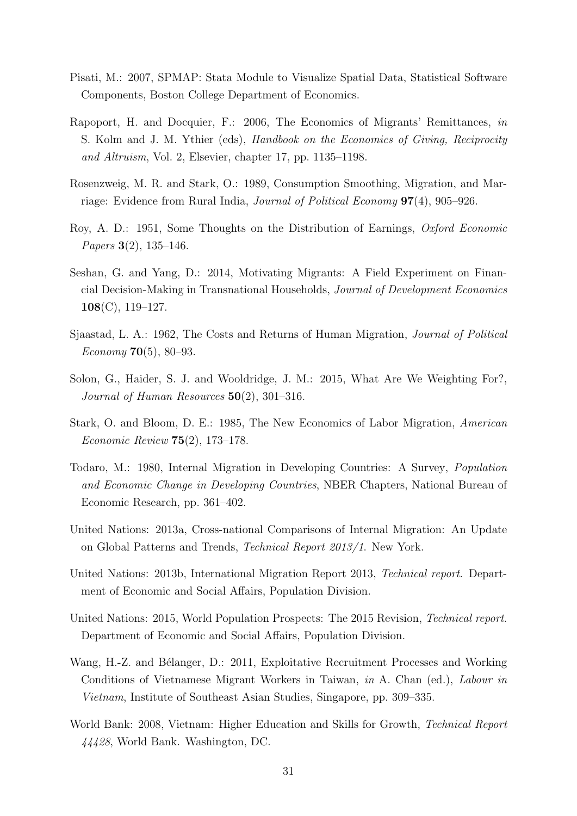- <span id="page-30-12"></span>Pisati, M.: 2007, SPMAP: Stata Module to Visualize Spatial Data, Statistical Software Components, Boston College Department of Economics.
- <span id="page-30-5"></span>Rapoport, H. and Docquier, F.: 2006, The Economics of Migrants' Remittances, in S. Kolm and J. M. Ythier (eds), Handbook on the Economics of Giving, Reciprocity and Altruism, Vol. 2, Elsevier, chapter 17, pp. 1135–1198.
- <span id="page-30-4"></span>Rosenzweig, M. R. and Stark, O.: 1989, Consumption Smoothing, Migration, and Marriage: Evidence from Rural India, Journal of Political Economy 97(4), 905–926.
- <span id="page-30-7"></span>Roy, A. D.: 1951, Some Thoughts on the Distribution of Earnings, Oxford Economic Papers 3(2), 135–146.
- <span id="page-30-11"></span>Seshan, G. and Yang, D.: 2014, Motivating Migrants: A Field Experiment on Financial Decision-Making in Transnational Households, Journal of Development Economics 108(C), 119–127.
- <span id="page-30-8"></span>Sjaastad, L. A.: 1962, The Costs and Returns of Human Migration, Journal of Political Economy **70**(5), 80–93.
- <span id="page-30-10"></span>Solon, G., Haider, S. J. and Wooldridge, J. M.: 2015, What Are We Weighting For?, Journal of Human Resources  $50(2)$ , 301-316.
- <span id="page-30-6"></span>Stark, O. and Bloom, D. E.: 1985, The New Economics of Labor Migration, American Economic Review 75(2), 173–178.
- <span id="page-30-3"></span>Todaro, M.: 1980, Internal Migration in Developing Countries: A Survey, Population and Economic Change in Developing Countries, NBER Chapters, National Bureau of Economic Research, pp. 361–402.
- <span id="page-30-1"></span>United Nations: 2013a, Cross-national Comparisons of Internal Migration: An Update on Global Patterns and Trends, Technical Report 2013/1. New York.
- <span id="page-30-0"></span>United Nations: 2013b, International Migration Report 2013, Technical report. Department of Economic and Social Affairs, Population Division.
- <span id="page-30-2"></span>United Nations: 2015, World Population Prospects: The 2015 Revision, Technical report. Department of Economic and Social Affairs, Population Division.
- <span id="page-30-9"></span>Wang, H.-Z. and Bélanger, D.: 2011, Exploitative Recruitment Processes and Working Conditions of Vietnamese Migrant Workers in Taiwan, in A. Chan (ed.), Labour in Vietnam, Institute of Southeast Asian Studies, Singapore, pp. 309–335.
- <span id="page-30-13"></span>World Bank: 2008, Vietnam: Higher Education and Skills for Growth, Technical Report 44428, World Bank. Washington, DC.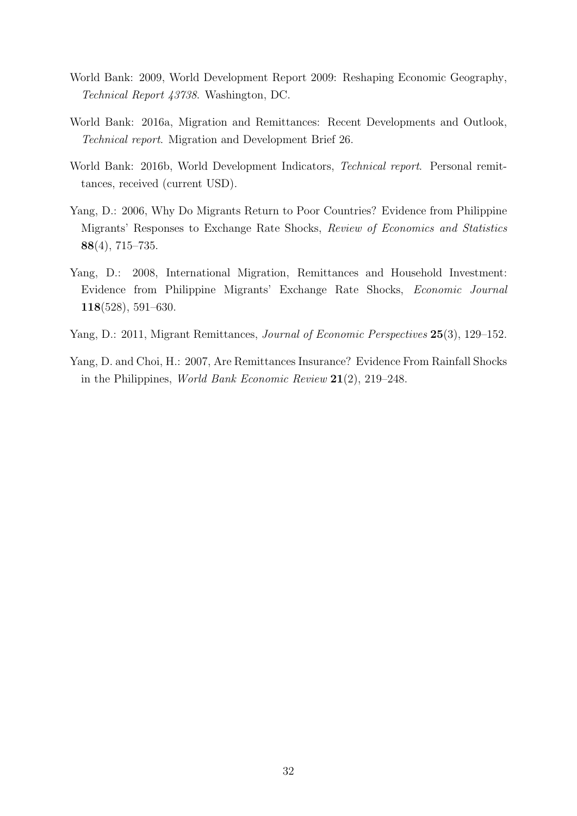- <span id="page-31-0"></span>World Bank: 2009, World Development Report 2009: Reshaping Economic Geography, Technical Report 43738. Washington, DC.
- <span id="page-31-1"></span>World Bank: 2016a, Migration and Remittances: Recent Developments and Outlook, Technical report. Migration and Development Brief 26.
- <span id="page-31-2"></span>World Bank: 2016b, World Development Indicators, Technical report. Personal remittances, received (current USD).
- <span id="page-31-5"></span>Yang, D.: 2006, Why Do Migrants Return to Poor Countries? Evidence from Philippine Migrants' Responses to Exchange Rate Shocks, Review of Economics and Statistics 88(4), 715–735.
- <span id="page-31-6"></span>Yang, D.: 2008, International Migration, Remittances and Household Investment: Evidence from Philippine Migrants' Exchange Rate Shocks, Economic Journal 118(528), 591–630.
- <span id="page-31-4"></span>Yang, D.: 2011, Migrant Remittances, Journal of Economic Perspectives 25(3), 129–152.
- <span id="page-31-3"></span>Yang, D. and Choi, H.: 2007, Are Remittances Insurance? Evidence From Rainfall Shocks in the Philippines, World Bank Economic Review 21(2), 219–248.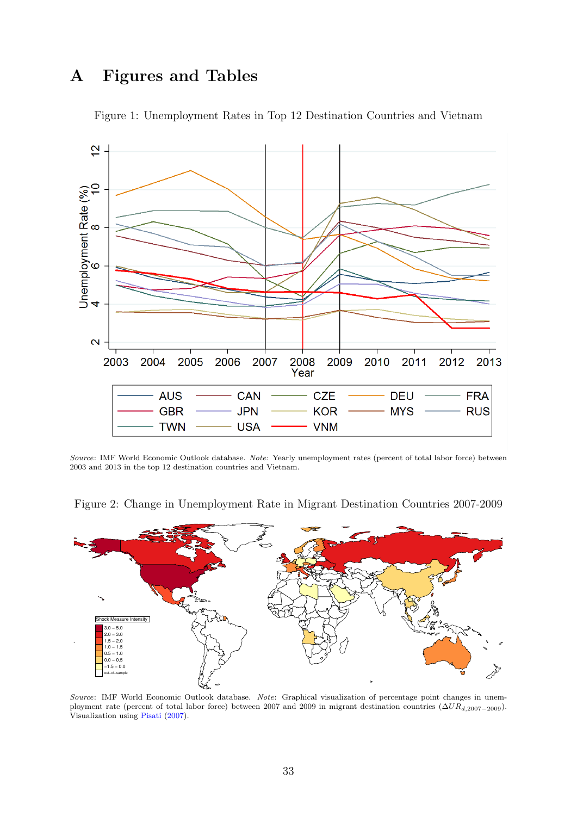## A Figures and Tables

<span id="page-32-0"></span>

Figure 1: Unemployment Rates in Top 12 Destination Countries and Vietnam

Source: IMF World Economic Outlook database. Note: Yearly unemployment rates (percent of total labor force) between 2003 and 2013 in the top 12 destination countries and Vietnam.



<span id="page-32-1"></span>Figure 2: Change in Unemployment Rate in Migrant Destination Countries 2007-2009

Source: IMF World Economic Outlook database. Note: Graphical visualization of percentage point changes in unemployment rate (percent of total labor force) between 2007 and 2009 in migrant destination countries  $(\Delta UR_{d,2007-2009})$ . Visualization using [Pisati](#page-30-12) [\(2007\)](#page-30-12).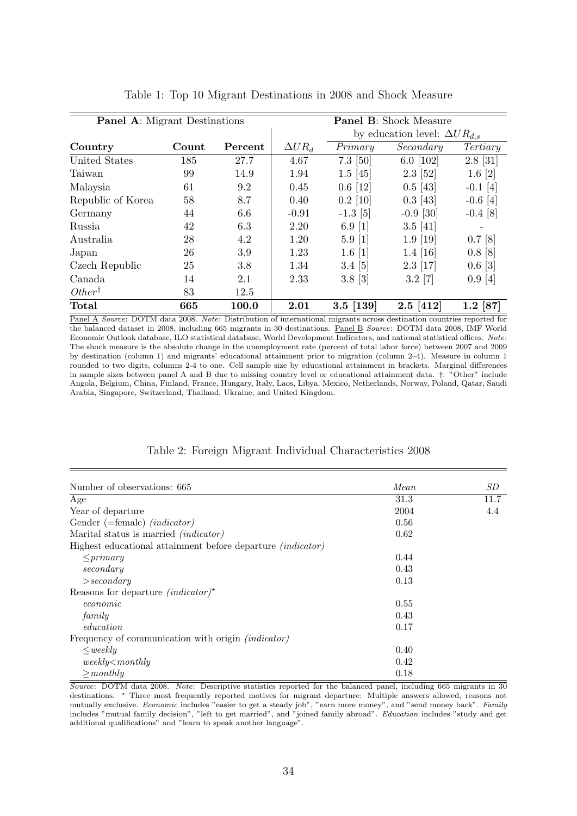<span id="page-33-0"></span>

| <b>Panel A:</b> Migrant Destinations |       |         |                | <b>Panel B:</b> Shock Measure |                                        |              |
|--------------------------------------|-------|---------|----------------|-------------------------------|----------------------------------------|--------------|
|                                      |       |         |                |                               | by education level: $\Delta U R_{d,s}$ |              |
| Country                              | Count | Percent | $\Delta U R_d$ | Primary                       | Secondary                              | Tertiary     |
| United States                        | 185   | 27.7    | 4.67           | $7.3$ [50]                    | 6.0 $[102]$                            | $2.8$ [31]   |
| Taiwan                               | 99    | 14.9    | 1.94           | $1.5$ [45]                    | $2.3$ [52]                             | $1.6 \; [2]$ |
| Malaysia                             | 61    | 9.2     | 0.45           | $0.6 \; [12]$                 | $0.5$ [43]                             | $-0.1$ [4]   |
| Republic of Korea                    | 58    | 8.7     | 0.40           | $0.2$ [10]                    | $0.3$ [43]                             | $-0.6$ [4]   |
| Germany                              | 44    | 6.6     | $-0.91$        | $-1.3$ [5]                    | $-0.9$ [30]                            | $-0.4$ [8]   |
| Russia                               | 42    | 6.3     | 2.20           | $6.9 \; [1]$                  | $3.5 \; [41]$                          |              |
| Australia                            | 28    | 4.2     | 1.20           | $5.9 \; [1]$                  | $1.9$ [19]                             | $0.7$ [8]    |
| Japan                                | 26    | 3.9     | 1.23           | $1.6 \; [1]$                  | $1.4 \; [16]$                          | $0.8$ [8]    |
| Czech Republic                       | 25    | 3.8     | 1.34           | $3.4 \; [5]$                  | $2.3$ [17]                             | $0.6 \; [3]$ |
| Canada                               | 14    | 2.1     | 2.33           | $3.8 \; [3]$                  | $3.2 \; [7]$                           | $0.9 \; [4]$ |
| $Other^{\dagger}$                    | 83    | 12.5    |                |                               |                                        |              |
| Total                                | 665   | 100.0   | 2.01           | $3.5$ [139]                   | $2.5$ [412]                            | $1.2$ [87]   |

Table 1: Top 10 Migrant Destinations in 2008 and Shock Measure

Panel A Source: DOTM data 2008. Note: Distribution of international migrants across destination countries reported for the balanced dataset in 2008, including 665 migrants in 30 destinations. Panel B Source: DOTM data 2008, IMF World Economic Outlook database, ILO statistical database, World Development Indicators, and national statistical offices. Note: The shock measure is the absolute change in the unemployment rate (percent of total labor force) between 2007 and 2009 by destination (column 1) and migrants' educational attainment prior to migration (column 2–4). Measure in column 1 rounded to two digits, columns 2-4 to one. Cell sample size by educational attainment in brackets. Marginal differences in sample sizes between panel A and B due to missing country level or educational attainment data. †: "Other" include Angola, Belgium, China, Finland, France, Hungary, Italy, Laos, Libya, Mexico, Netherlands, Norway, Poland, Qatar, Saudi Arabia, Singapore, Switzerland, Thailand, Ukraine, and United Kingdom.

#### Table 2: Foreign Migrant Individual Characteristics 2008

<span id="page-33-1"></span>

| Number of observations: 665                                        | Mean | SD   |
|--------------------------------------------------------------------|------|------|
| Age                                                                | 31.3 | 11.7 |
| Year of departure                                                  | 2004 | 4.4  |
| Gender (=female) $(indictionary)$                                  | 0.56 |      |
| Marital status is married <i>(indicator)</i>                       | 0.62 |      |
| Highest educational attainment before departure <i>(indicator)</i> |      |      |
| $\langle p\rightleftharpoondown$                                   | 0.44 |      |
| secondary                                                          | 0.43 |      |
| > secondary                                                        | 0.13 |      |
| Reasons for departure <i>(indicator)</i> *                         |      |      |
| economic                                                           | 0.55 |      |
| family                                                             | 0.43 |      |
| <i>education</i>                                                   | 0.17 |      |
| Frequency of communication with origin <i>(indicator)</i>          |      |      |
| $\leq$ weeklu                                                      | 0.40 |      |
| $weakly mathly$                                                    | 0.42 |      |
| $\geq$ monthly                                                     | 0.18 |      |

Source: DOTM data 2008. Note: Descriptive statistics reported for the balanced panel, including 665 migrants in 30 destinations. ? Three most frequently reported motives for migrant departure: Multiple answers allowed, reasons not mutually exclusive. Economic includes "easier to get a steady job", "earn more money", and "send money back". Family includes "mutual family decision", "left to get married", and "joined family abroad". Education includes "study and get additional qualifications" and "learn to speak another language".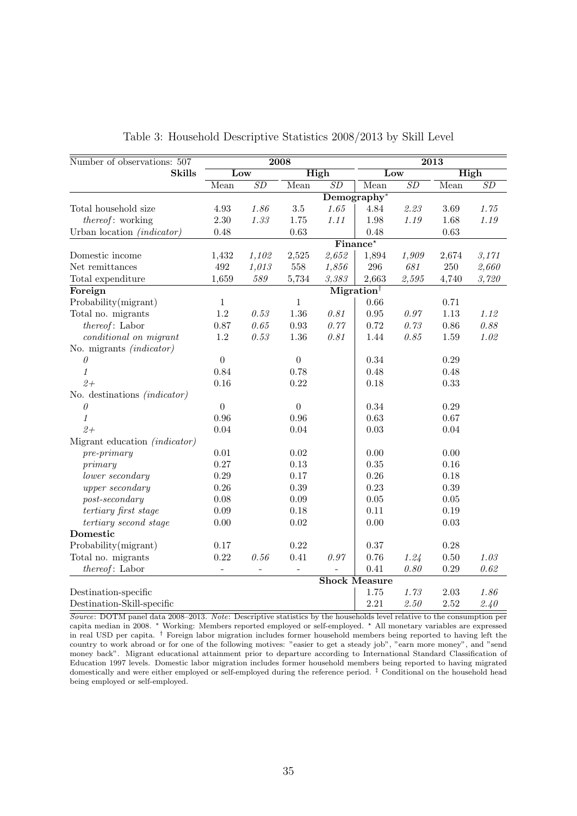<span id="page-34-0"></span>

| Number of observations: 507                               |                  |          | 2008             |        | $\overline{2013}$                   |          |          |       |
|-----------------------------------------------------------|------------------|----------|------------------|--------|-------------------------------------|----------|----------|-------|
| <b>Skills</b>                                             | Low              |          |                  | High   |                                     | Low      |          | High  |
|                                                           | Mean             | SD       | Mean             | SD     | Mean                                | SD       | Mean     | SD    |
|                                                           |                  |          |                  |        | $Demography*$                       |          |          |       |
| Total household size                                      | 4.93             | 1.86     | $3.5\,$          | 1.65   | 4.84                                | 2.23     | 3.69     | 1.75  |
| <i>thereof</i> : working                                  | $2.30\,$         | 1.33     | 1.75             | 1.11   | 1.98                                | 1.19     | 1.68     | 1.19  |
| Urban location (indicator)                                | 0.48             |          | 0.63             |        | 0.48                                |          | 0.63     |       |
|                                                           |                  |          |                  |        | $\overline{\text{Finance}^{\star}}$ |          |          |       |
| Domestic income                                           | 1,432            | 1,102    | 2,525            | 2,652  | 1,894                               | 1,909    | 2,674    | 3,171 |
| Net remittances                                           | $\rm 492$        | 1,013    | $558\,$          | 1,856  | $\,296$                             | 681      | $250\,$  | 2,660 |
| Total expenditure                                         | 1,659            | 589      | 5,734            | 3,383  | 2,663                               | 2,595    | 4,740    | 3,720 |
| Foreign                                                   |                  |          |                  |        | $Migration^{\dagger}$               |          |          |       |
| Probability(migrant)                                      | $\mathbf{1}$     |          | $\mathbf{1}$     |        | 0.66                                |          | 0.71     |       |
| Total no. migrants                                        | $1.2\,$          | 0.53     | 1.36             | 0.81   | 0.95                                | 0.97     | 1.13     | 1.12  |
| thereof: Labor                                            | $0.87\,$         | $0.65\,$ | 0.93             | 0.77   | 0.72                                | 0.73     | 0.86     | 0.88  |
| conditional on migrant                                    | $1.2\,$          | 0.53     | 1.36             | 0.81   | 1.44                                | 0.85     | 1.59     | 1.02  |
| No. migrants <i>(indicator)</i>                           |                  |          |                  |        |                                     |          |          |       |
| $\theta$                                                  | $\boldsymbol{0}$ |          | $\boldsymbol{0}$ |        | $0.34\,$                            |          | 0.29     |       |
| $\mathcal{I}% _{M_{1},M_{2}}^{\alpha,\beta}(\varepsilon)$ | 0.84             |          | 0.78             |        | 0.48                                |          | 0.48     |       |
| $2+$                                                      | 0.16             |          | 0.22             |        | 0.18                                |          | 0.33     |       |
| No. destinations <i>(indicator)</i>                       |                  |          |                  |        |                                     |          |          |       |
| 0                                                         | $\overline{0}$   |          | $\overline{0}$   |        | 0.34                                |          | 0.29     |       |
| 1                                                         | 0.96             |          | 0.96             |        | 0.63                                |          | 0.67     |       |
| $2+$                                                      | 0.04             |          | 0.04             |        | 0.03                                |          | 0.04     |       |
| Migrant education <i>(indicator)</i>                      |                  |          |                  |        |                                     |          |          |       |
| $pre-primary$                                             | $0.01\,$         |          | 0.02             |        | 0.00                                |          | 0.00     |       |
| primary                                                   | 0.27             |          | 0.13             |        | 0.35                                |          | 0.16     |       |
| lower secondary                                           | 0.29             |          | 0.17             |        | 0.26                                |          | 0.18     |       |
| upper secondary                                           | $0.26\,$         |          | 0.39             |        | 0.23                                |          | 0.39     |       |
| $post\text{-}secondary$                                   | 0.08             |          | 0.09             |        | 0.05                                |          | $0.05\,$ |       |
| tertiary first stage                                      | $0.09\,$         |          | 0.18             |        | 0.11                                |          | 0.19     |       |
| tertiary second stage                                     | $0.00\,$         |          | 0.02             |        | 0.00                                |          | 0.03     |       |
| Domestic                                                  |                  |          |                  |        |                                     |          |          |       |
| Probability(migrant)                                      | 0.17             |          | 0.22             |        | 0.37                                |          | 0.28     |       |
| Total no. migrants                                        | 0.22             | 0.56     | 0.41             | $0.97$ | 0.76                                | 1.24     | $0.50\,$ | 1.03  |
| thereof: Labor                                            |                  |          |                  |        | 0.41                                | 0.80     | $0.29\,$ | 0.62  |
|                                                           |                  |          |                  |        | <b>Shock Measure</b>                |          |          |       |
| Destination-specific                                      |                  |          |                  |        | 1.75                                | 1.73     | 2.03     | 1.86  |
| Destination-Skill-specific                                |                  |          |                  |        | 2.21                                | $2.50\,$ | 2.52     | 2.40  |

Table 3: Household Descriptive Statistics 2008/2013 by Skill Level

Source: DOTM panel data 2008–2013. Note: Descriptive statistics by the households level relative to the consumption per capita median in 2008. <sup>∗</sup> Working: Members reported employed or self-employed. ? All monetary variables are expressed in real USD per capita.  $\dagger$  Foreign labor migration includes former household members being reported to having left the country to work abroad or for one of the following motives: "easier to get a steady job", "earn more money", and "send money back". Migrant educational attainment prior to departure according to International Standard Classification of Education 1997 levels. Domestic labor migration includes former household members being reported to having migrated domestically and were either employed or self-employed during the reference period. ‡ Conditional on the household head being employed or self-employed.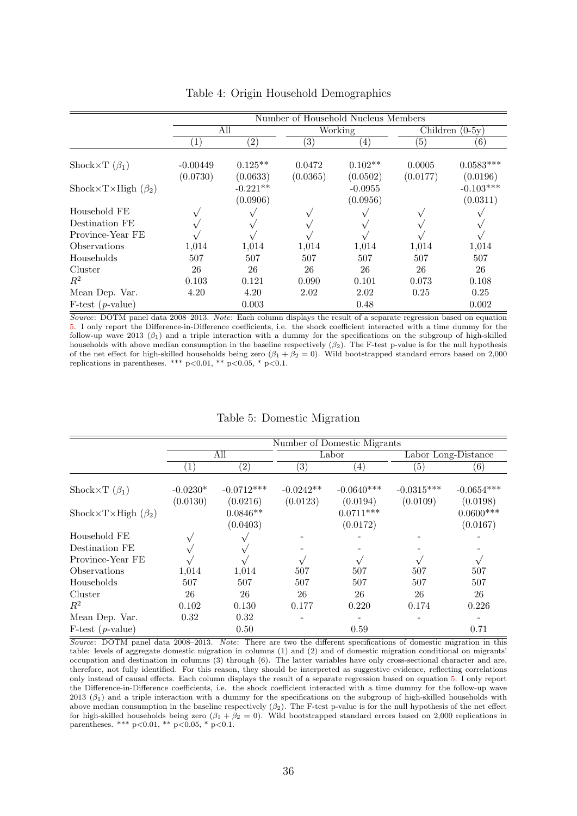<span id="page-35-0"></span>

|                           |              | Number of Household Nucleus Members |          |                                   |                   |                                     |  |  |
|---------------------------|--------------|-------------------------------------|----------|-----------------------------------|-------------------|-------------------------------------|--|--|
|                           |              | All                                 | Working  |                                   | Children $(0-5y)$ |                                     |  |  |
|                           | $\mathbf{1}$ | $\left( 2\right)$                   | (3)      | (4)                               | (5)               | (6)                                 |  |  |
| Shock $\times T(\beta_1)$ | $-0.00449$   | $0.125**$                           | 0.0472   | $0.102**$                         | 0.0005            | $0.0583***$                         |  |  |
| Shock×T×High $(\beta_2)$  | (0.0730)     | (0.0633)<br>$-0.221**$<br>(0.0906)  | (0.0365) | (0.0502)<br>$-0.0955$<br>(0.0956) | (0.0177)          | (0.0196)<br>$-0.103***$<br>(0.0311) |  |  |
| Household FE              |              |                                     |          |                                   |                   |                                     |  |  |
| Destination FE            |              |                                     |          |                                   |                   |                                     |  |  |
| Province-Year FE          |              |                                     |          |                                   |                   |                                     |  |  |
| Observations              | 1,014        | 1,014                               | 1,014    | 1,014                             | 1,014             | 1,014                               |  |  |
| Households                | 507          | 507                                 | 507      | 507                               | 507               | 507                                 |  |  |
| Cluster                   | 26           | 26                                  | 26       | 26                                | 26                | 26                                  |  |  |
| $R^2$                     | 0.103        | 0.121                               | 0.090    | 0.101                             | 0.073             | 0.108                               |  |  |
| Mean Dep. Var.            | 4.20         | 4.20                                | 2.02     | 2.02                              | 0.25              | 0.25                                |  |  |
| $F-test (p-value)$        |              | 0.003                               |          | 0.48                              |                   | 0.002                               |  |  |

Table 4: Origin Household Demographics

Source: DOTM panel data 2008–2013. Note: Each column displays the result of a separate regression based on equation [5.](#page-16-4) I only report the Difference-in-Difference coefficients, i.e. the shock coefficient interacted with a time dummy for the follow-up wave 2013  $(\beta_1)$  and a triple interaction with a dummy for the specifications on the subgroup of high-skilled households with above median consumption in the baseline respectively  $(\beta_2)$ . The F-test p-value is for the null hypothesis of the net effect for high-skilled households being zero  $(\beta_1 + \beta_2 = 0)$ . Wild bootstrapped standard errors based on 2,000 replications in parentheses. \*\*\* p<0.01, \*\* p<0.05, \* p<0.1.

|  | Table 5: Domestic Migration |  |
|--|-----------------------------|--|
|--|-----------------------------|--|

<span id="page-35-1"></span>

|                          | Number of Domestic Migrants |                          |                         |                          |                          |                          |  |  |  |
|--------------------------|-----------------------------|--------------------------|-------------------------|--------------------------|--------------------------|--------------------------|--|--|--|
|                          |                             | All                      |                         | Labor                    |                          | Labor Long-Distance      |  |  |  |
|                          | $\left(1\right)$            | $\left( 2\right)$        | $\left( 3\right)$       | (4)                      | (5)                      | $\left( 6\right)$        |  |  |  |
| Shock×T $(\beta_1)$      | $-0.0230*$<br>(0.0130)      | $-0.0712***$<br>(0.0216) | $-0.0242**$<br>(0.0123) | $-0.0640***$<br>(0.0194) | $-0.0315***$<br>(0.0109) | $-0.0654***$<br>(0.0198) |  |  |  |
| Shock×T×High $(\beta_2)$ |                             | $0.0846**$<br>(0.0403)   |                         | $0.0711***$<br>(0.0172)  |                          | $0.0600***$<br>(0.0167)  |  |  |  |
| Household FE             |                             |                          |                         |                          |                          |                          |  |  |  |
| Destination FE           |                             |                          |                         |                          |                          |                          |  |  |  |
| Province-Year FE         |                             |                          |                         |                          |                          |                          |  |  |  |
| Observations             | 1,014                       | 1,014                    | 507                     | 507                      | 507                      | 507                      |  |  |  |
| Households               | 507                         | 507                      | 507                     | 507                      | 507                      | 507                      |  |  |  |
| Cluster                  | 26                          | 26                       | 26                      | 26                       | 26                       | 26                       |  |  |  |
| $R^2$                    | 0.102                       | 0.130                    | 0.177                   | 0.220                    | 0.174                    | 0.226                    |  |  |  |
| Mean Dep. Var.           | 0.32                        | 0.32                     |                         |                          |                          |                          |  |  |  |
| $F-test (p-value)$       |                             | 0.50                     |                         | 0.59                     |                          | 0.71                     |  |  |  |

Source: DOTM panel data 2008–2013. Note: There are two the different specifications of domestic migration in this table: levels of aggregate domestic migration in columns (1) and (2) and of domestic migration conditional on migrants' occupation and destination in columns (3) through (6). The latter variables have only cross-sectional character and are, therefore, not fully identified. For this reason, they should be interpreted as suggestive evidence, reflecting correlations only instead of causal effects. Each column displays the result of a separate regression based on equation [5.](#page-16-4) I only report the Difference-in-Difference coefficients, i.e. the shock coefficient interacted with a time dummy for the follow-up wave 2013 ( $\beta_1$ ) and a triple interaction with a dummy for the specifications on the subgroup of high-skilled households with above median consumption in the baseline respectively  $(\beta_2)$ . The F-test p-value is for the null hypothesis of the net effect for high-skilled households being zero  $(\beta_1 + \beta_2 = 0)$ . Wild bootstrapped standard errors based on 2,000 replications in parentheses. \*\*\* p<0.01, \*\* p<0.05, \* p<0.1.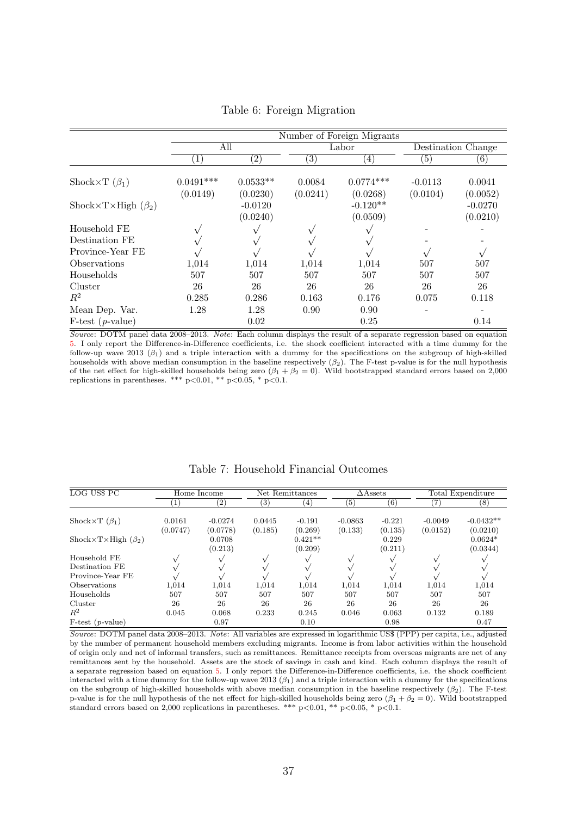<span id="page-36-0"></span>

|                                                        | Number of Foreign Migrants |                                   |          |                                    |                    |                                   |  |  |
|--------------------------------------------------------|----------------------------|-----------------------------------|----------|------------------------------------|--------------------|-----------------------------------|--|--|
|                                                        | All                        |                                   |          | Labor                              | Destination Change |                                   |  |  |
|                                                        | $\left(1\right)$           | $\left( 2\right)$                 | 3)       | (4)                                | (5)                | (6)                               |  |  |
| Shock $\times T(\beta_1)$                              | $0.0491***$                | $0.0533**$                        | 0.0084   | $0.0774***$                        | $-0.0113$          | 0.0041                            |  |  |
| $\text{Shock}\times\text{T}\times\text{High}(\beta_2)$ | (0.0149)                   | (0.0230)<br>$-0.0120$<br>(0.0240) | (0.0241) | (0.0268)<br>$-0.120**$<br>(0.0509) | (0.0104)           | (0.0052)<br>$-0.0270$<br>(0.0210) |  |  |
| Household FE                                           |                            |                                   |          |                                    |                    |                                   |  |  |
| Destination FE                                         |                            |                                   |          |                                    |                    |                                   |  |  |
| Province-Year FE                                       |                            |                                   |          |                                    |                    |                                   |  |  |
| Observations                                           | 1,014                      | 1,014                             | 1,014    | 1,014                              | 507                | 507                               |  |  |
| Households                                             | 507                        | 507                               | 507      | 507                                | 507                | 507                               |  |  |
| Cluster                                                | 26                         | 26                                | 26       | 26                                 | 26                 | 26                                |  |  |
| $R^2$                                                  | 0.285                      | 0.286                             | 0.163    | 0.176                              | 0.075              | 0.118                             |  |  |
| Mean Dep. Var.                                         | 1.28                       | 1.28                              | 0.90     | 0.90                               |                    |                                   |  |  |
| $F-test (p-value)$                                     |                            | 0.02                              |          | 0.25                               |                    | 0.14                              |  |  |

Table 6: Foreign Migration

Source: DOTM panel data 2008–2013. Note: Each column displays the result of a separate regression based on equation [5.](#page-16-4) I only report the Difference-in-Difference coefficients, i.e. the shock coefficient interacted with a time dummy for the follow-up wave 2013  $(\beta_1)$  and a triple interaction with a dummy for the specifications on the subgroup of high-skilled households with above median consumption in the baseline respectively  $(\beta_2)$ . The F-test p-value is for the null hypothesis of the net effect for high-skilled households being zero  $(\beta_1 + \beta_2 = 0)$ . Wild bootstrapped standard errors based on 2,000 replications in parentheses. \*\*\*  $p < 0.01$ , \*\*  $p < 0.05$ , \*  $p < 0.1$ .

<span id="page-36-1"></span>

| LOG US\$ PC               |                    | Home Income           |                   | Net Remittances      |                      | $\triangle$ Assets  |                       | Total Expenditure       |
|---------------------------|--------------------|-----------------------|-------------------|----------------------|----------------------|---------------------|-----------------------|-------------------------|
|                           |                    | $^{\left( 2\right) }$ | $\left( 3\right)$ | $\left(4\right)$     | $\left( 5\right)$    | $^{\rm (6)}$        |                       | (8)                     |
| Shock $\times T(\beta_1)$ | 0.0161<br>(0.0747) | $-0.0274$<br>(0.0778) | 0.0445<br>(0.185) | $-0.191$<br>(0.269)  | $-0.0863$<br>(0.133) | $-0.221$<br>(0.135) | $-0.0049$<br>(0.0152) | $-0.0432**$<br>(0.0210) |
| Shock×T×High $(\beta_2)$  |                    | 0.0708<br>(0.213)     |                   | $0.421**$<br>(0.209) |                      | 0.229<br>(0.211)    |                       | $0.0624*$<br>(0.0344)   |
| Household FE              |                    |                       |                   |                      |                      |                     |                       |                         |
| Destination FE            |                    |                       |                   |                      |                      |                     |                       |                         |
| Province-Year FE          |                    |                       |                   |                      |                      |                     |                       |                         |
| Observations              | 1.014              | 1.014                 | 1,014             | 1,014                | 1,014                | 1,014               | 1,014                 | 1,014                   |
| Households                | 507                | 507                   | 507               | 507                  | 507                  | 507                 | 507                   | 507                     |
| Cluster                   | 26                 | 26                    | 26                | 26                   | 26                   | 26                  | 26                    | 26                      |
| $R^2$                     | 0.045              | 0.068                 | 0.233             | 0.245                | 0.046                | 0.063               | 0.132                 | 0.189                   |
| $F-test (p-value)$        |                    | 0.97                  |                   | 0.10                 |                      | 0.98                |                       | 0.47                    |

Table 7: Household Financial Outcomes

Source: DOTM panel data 2008–2013. Note: All variables are expressed in logarithmic US\$ (PPP) per capita, i.e., adjusted by the number of permanent household members excluding migrants. Income is from labor activities within the household of origin only and net of informal transfers, such as remittances. Remittance receipts from overseas migrants are net of any remittances sent by the household. Assets are the stock of savings in cash and kind. Each column displays the result of a separate regression based on equation [5.](#page-16-4) I only report the Difference-in-Difference coefficients, i.e. the shock coefficient interacted with a time dummy for the follow-up wave 2013  $(\beta_1)$  and a triple interaction with a dummy for the specifications on the subgroup of high-skilled households with above median consumption in the baseline respectively  $(\beta_2)$ . The F-test p-value is for the null hypothesis of the net effect for high-skilled households being zero  $(\beta_1 + \beta_2 = 0)$ . Wild bootstrapped standard errors based on 2,000 replications in parentheses. \*\*\* p<0.01, \*\* p<0.05, \* p<0.1.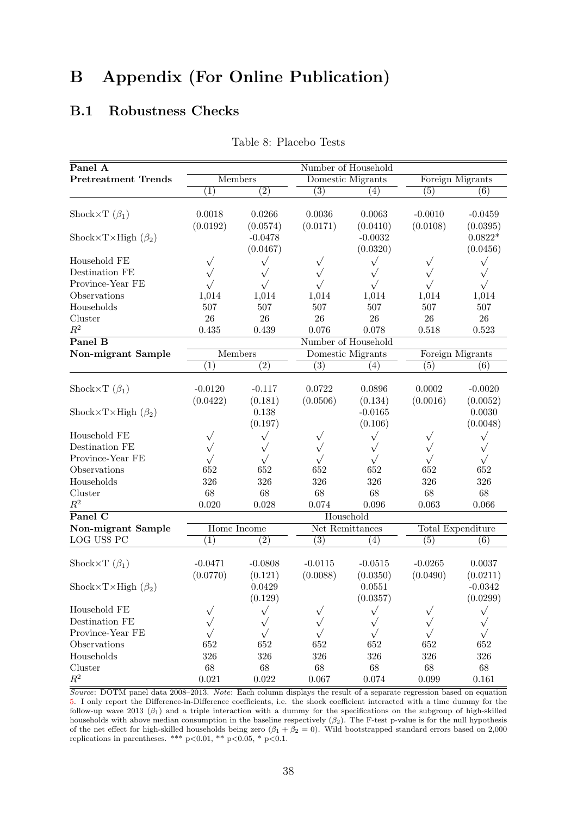## B Appendix (For Online Publication)

### <span id="page-37-0"></span>B.1 Robustness Checks

| Panel A                     |                  |                  | Number of Household |                     |           |                   |  |  |
|-----------------------------|------------------|------------------|---------------------|---------------------|-----------|-------------------|--|--|
| <b>Pretreatment Trends</b>  |                  | <b>Members</b>   |                     | Domestic Migrants   |           | Foreign Migrants  |  |  |
|                             | $\overline{(1)}$ | $\overline{(2)}$ | (3)                 | (4)                 | (5)       | (6)               |  |  |
|                             |                  |                  |                     |                     |           |                   |  |  |
| Shock×T $(\beta_1)$         | 0.0018           | 0.0266           | 0.0036              | 0.0063              | $-0.0010$ | $-0.0459$         |  |  |
|                             | (0.0192)         | (0.0574)         | (0.0171)            | (0.0410)            | (0.0108)  | (0.0395)          |  |  |
| Shock×T×High $(\beta_2)$    |                  | $-0.0478$        |                     | $-0.0032$           |           | $0.0822*$         |  |  |
|                             |                  | (0.0467)         |                     | (0.0320)            |           | (0.0456)          |  |  |
| Household FE                | $\sqrt{}$        | $\sqrt{}$        | $\sqrt{}$           | $\sqrt{}$           | $\sqrt{}$ | $\sqrt{}$         |  |  |
| Destination FE              | $\sqrt{}$        | $\sqrt{}$        | $\sqrt{}$           | $\sqrt{}$           |           | $\sqrt{}$         |  |  |
| Province-Year FE            | $\sqrt{}$        | $\sqrt{}$        | $\sqrt{}$           | $\sqrt{}$           | $\sqrt{}$ | $\sqrt{}$         |  |  |
| Observations                | 1,014            | 1,014            | 1,014               | 1,014               | 1,014     | 1,014             |  |  |
| Households                  | 507              | 507              | 507                 | 507                 | 507       | 507               |  |  |
| Cluster                     | 26               | 26               | 26                  | 26                  | 26        | 26                |  |  |
| $R^2$                       | 0.435            | 0.439            | 0.076               | 0.078               | 0.518     | 0.523             |  |  |
| Panel B                     |                  |                  |                     | Number of Household |           |                   |  |  |
| Non-migrant Sample          |                  | <b>Members</b>   |                     | Domestic Migrants   |           | Foreign Migrants  |  |  |
|                             | (1)              | $\overline{(2)}$ | (3)                 | (4)                 | (5)       | (6)               |  |  |
|                             |                  |                  |                     |                     |           |                   |  |  |
| Shock $\times T(\beta_1)$   | $-0.0120$        | $-0.117$         | 0.0722              | 0.0896              | 0.0002    | $-0.0020$         |  |  |
|                             | (0.0422)         | (0.181)          | (0.0506)            | (0.134)             | (0.0016)  | (0.0052)          |  |  |
| Shock×T×High $(\beta_2)$    |                  | 0.138            |                     | $-0.0165$           |           | 0.0030            |  |  |
|                             |                  | (0.197)          |                     | (0.106)             |           | (0.0048)          |  |  |
| Household FE                | $\sqrt{}$        | $\sqrt{}$        | $\checkmark$        | $\sqrt{}$           | $\sqrt{}$ | $\sqrt{}$         |  |  |
| Destination FE              | $\sqrt{}$        | $\sqrt{}$        |                     | $\sqrt{}$           |           | $\sqrt{}$         |  |  |
| Province-Year FE            | $\sqrt{}$        | $\sqrt{}$        |                     | $\sqrt{}$           | $\sqrt{}$ | $\sqrt{}$         |  |  |
| Observations                | 652              | 652              | 652                 | 652                 | 652       | 652               |  |  |
| Households                  | 326              | 326              | 326                 | 326                 | 326       | 326               |  |  |
| Cluster                     | 68               | 68               | 68                  | 68                  | 68        | 68                |  |  |
| $\mathbb{R}^2$              | 0.020            | 0.028            | 0.074               | 0.096               | 0.063     | 0.066             |  |  |
| $\overline{\text{Panel C}}$ |                  |                  |                     | Household           |           |                   |  |  |
| Non-migrant Sample          |                  | Home Income      |                     | Net Remittances     |           | Total Expenditure |  |  |
| LOG US\$ PC                 | $\overline{(1)}$ | $\overline{(2)}$ | (3)                 | (4)                 | (5)       | (6)               |  |  |
|                             |                  |                  |                     |                     |           |                   |  |  |
| Shock×T $(\beta_1)$         | $-0.0471$        | $-0.0808$        | $-0.0115$           | $-0.0515$           | $-0.0265$ | 0.0037            |  |  |
|                             | (0.0770)         | (0.121)          | (0.0088)            | (0.0350)            | (0.0490)  | (0.0211)          |  |  |
| Shock×T×High $(\beta_2)$    |                  | 0.0429           |                     | 0.0551              |           | $-0.0342$         |  |  |
|                             |                  | (0.129)          |                     | (0.0357)            |           | (0.0299)          |  |  |
| Household FE                |                  | $\sqrt{}$        |                     | $\sqrt{}$           |           | $\sqrt{}$         |  |  |
| Destination FE              |                  | $\sqrt{}$        |                     |                     |           |                   |  |  |
| Province-Year FE            |                  | $\sqrt{}$        |                     |                     | $\sqrt{}$ |                   |  |  |
| Observations                | 652              | 652              | 652                 | 652                 | 652       | 652               |  |  |
| Households                  | $326\,$          | $326\,$          | 326                 | $326\,$             | 326       | 326               |  |  |
| Cluster                     | $68\,$           | $68\,$           | $68\,$              | $68\,$              | $68\,$    | $68\,$            |  |  |
| $\mathbb{R}^2$              | 0.021            | $0.022\,$        | 0.067               | $0.074\,$           | 0.099     | 0.161             |  |  |

Table 8: Placebo Tests

Source: DOTM panel data 2008–2013. Note: Each column displays the result of a separate regression based on equation [5.](#page-16-4) I only report the Difference-in-Difference coefficients, i.e. the shock coefficient interacted with a time dummy for the follow-up wave 2013 ( $\beta_1$ ) and a triple interaction with a dummy for the specifications on the subgroup of high-skilled households with above median consumption in the baseline respectively  $(\beta_2)$ . The F-test p-value is for the null hypothesis of the net effect for high-skilled households being zero  $(\beta_1 + \beta_2 = 0)$ . Wild bootstrapped standard errors based on 2,000 replications in parentheses. \*\*\*  $p<0.01$ , \*\*  $p<0.05$ , \*  $p<0.1$ .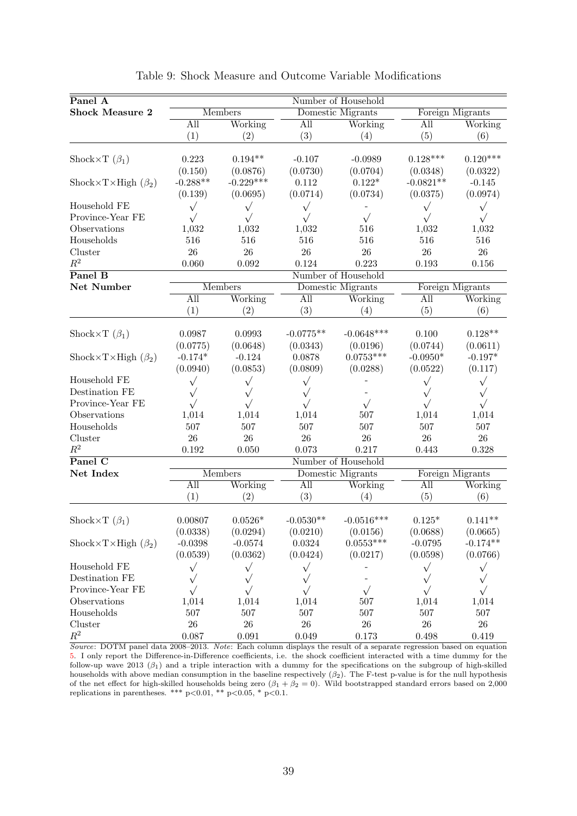<span id="page-38-0"></span>

| Panel A                        |            |                |             | Number of Household |                  |            |  |  |
|--------------------------------|------------|----------------|-------------|---------------------|------------------|------------|--|--|
| <b>Shock Measure 2</b>         |            | <b>Members</b> |             | Domestic Migrants   | Foreign Migrants |            |  |  |
|                                | All        | Working        | All         | Working             |                  | Working    |  |  |
|                                | (1)        | (2)            | (3)         | (4)                 | All<br>(5)       | (6)        |  |  |
|                                |            |                |             |                     |                  |            |  |  |
| Shock $\times T(\beta_1)$      | 0.223      | $0.194**$      | $-0.107$    | $-0.0989$           | $0.128***$       | $0.120***$ |  |  |
|                                | (0.150)    | (0.0876)       | (0.0730)    | (0.0704)            | (0.0348)         | (0.0322)   |  |  |
| Shock×T×High $(\beta_2)$       | $-0.288**$ | $-0.229***$    | 0.112       | $0.122*$            | $-0.0821**$      | $-0.145$   |  |  |
|                                | (0.139)    | (0.0695)       | (0.0714)    | (0.0734)            | (0.0375)         | (0.0974)   |  |  |
| Household FE                   | $\sqrt{}$  | $\sqrt{}$      | $\sqrt{}$   |                     | $\sqrt{}$        | $\sqrt{}$  |  |  |
| Province-Year FE               | $\sqrt{}$  | $\sqrt{}$      | $\sqrt{}$   | $\sqrt{}$           | $\sqrt{}$        | $\sqrt{}$  |  |  |
| Observations                   | 1,032      | 1,032          | 1,032       | 516                 | 1,032            | 1,032      |  |  |
| Households                     | 516        | 516            | 516         | 516                 | 516              | 516        |  |  |
| Cluster                        | 26         | 26             | 26          | $26\,$              | $26\,$           | 26         |  |  |
| $\mathbb{R}^2$                 | 0.060      | 0.092          | 0.124       | 0.223               | 0.193            | 0.156      |  |  |
| Panel B                        |            |                |             | Number of Household |                  |            |  |  |
| Net Number                     |            | <b>Members</b> |             | Domestic Migrants   | Foreign Migrants |            |  |  |
|                                | All        | Working        | All         | Working             | All              | Working    |  |  |
|                                | (1)        | (2)            | (3)         | (4)                 | (5)              | (6)        |  |  |
|                                |            |                |             |                     |                  |            |  |  |
| Shock $\times T(\beta_1)$      | 0.0987     | 0.0993         | $-0.0775**$ | $-0.0648***$        | 0.100            | $0.128**$  |  |  |
|                                | (0.0775)   | (0.0648)       | (0.0343)    | (0.0196)            | (0.0744)         | (0.0611)   |  |  |
| Shock×T×High $(\beta_2)$       | $-0.174*$  | $-0.124$       | 0.0878      | $0.0753***$         | $-0.0950*$       | $-0.197*$  |  |  |
|                                | (0.0940)   | (0.0853)       | (0.0809)    | (0.0288)            | (0.0522)         | (0.117)    |  |  |
| Household FE                   | $\sqrt{}$  | $\sqrt{}$      | $\sqrt{}$   |                     | $\sqrt{}$        | $\sqrt{}$  |  |  |
| Destination FE                 | $\sqrt{}$  | $\sqrt{}$      | $\sqrt{}$   |                     | $\sqrt{}$        | $\sqrt{}$  |  |  |
| Province-Year FE               | $\sqrt{}$  | $\sqrt{}$      | $\sqrt{}$   | $\sqrt{}$           | $\sqrt{}$        | $\sqrt{}$  |  |  |
| Observations                   | 1,014      | 1,014          | 1,014       | 507                 | 1,014            | 1,014      |  |  |
| Households                     | 507        | 507            | 507         | 507                 | 507              | 507        |  |  |
| Cluster                        | 26         | 26             | 26          | $26\,$              | $26\,$           | 26         |  |  |
| $\mathbb{R}^2$                 | 0.192      | 0.050          | 0.073       | 0.217               | 0.443            | 0.328      |  |  |
| $\overline{\text{Panel C}}$    |            |                |             | Number of Household |                  |            |  |  |
| Net Index                      |            | <b>Members</b> |             | Domestic Migrants   | Foreign Migrants |            |  |  |
|                                | All        | Working        | All         | Working             | All              | Working    |  |  |
|                                | (1)        | (2)            | (3)         | (4)                 | (5)              | (6)        |  |  |
|                                |            |                |             |                     |                  |            |  |  |
| Shock $\times T$ ( $\beta_1$ ) | 0.00807    | $0.0526*$      | $-0.0530**$ | $-0.0516***$        | $0.125*$         | $0.141**$  |  |  |
|                                | (0.0338)   | (0.0294)       | (0.0210)    | (0.0156)            | (0.0688)         | (0.0665)   |  |  |
| Shock×T×High $(\beta_2)$       | $-0.0398$  | $-0.0574$      | 0.0324      | $0.0553***$         | $-0.0795$        | $-0.174**$ |  |  |
|                                | (0.0539)   | (0.0362)       | (0.0424)    | (0.0217)            | (0.0598)         | (0.0766)   |  |  |
| Household FE                   | $\sqrt{}$  | $\sqrt{}$      | $\sqrt{}$   |                     | $\sqrt{}$        | $\sqrt{}$  |  |  |
| Destination FE                 | $\sqrt{}$  | $\sqrt{}$      | $\sqrt{}$   |                     | $\sqrt{}$        | $\sqrt{}$  |  |  |
| Province-Year FE               | $\sqrt{}$  |                | $\sqrt{}$   | $\sqrt{}$           | $\sqrt{}$        | $\sqrt{}$  |  |  |
| Observations                   | 1,014      | 1,014          | 1,014       | $507\,$             | 1,014            | 1,014      |  |  |
| Households                     | $507\,$    | 507            | 507         | 507                 | 507              | 507        |  |  |
| Cluster                        | $26\,$     | $26\,$         | $26\,$      | $26\,$              | $26\,$           | 26         |  |  |
| $\mathbb{R}^2$                 | $0.087\,$  | $\,0.091\,$    | $0.049\,$   | 0.173               | 0.498            | 0.419      |  |  |

|  |  |  |  | Table 9: Shock Measure and Outcome Variable Modifications |
|--|--|--|--|-----------------------------------------------------------|
|--|--|--|--|-----------------------------------------------------------|

Source: DOTM panel data 2008–2013. Note: Each column displays the result of a separate regression based on equation [5.](#page-16-4) I only report the Difference-in-Difference coefficients, i.e. the shock coefficient interacted with a time dummy for the follow-up wave 2013  $(\beta_1)$  and a triple interaction with a dummy for the specifications on the subgroup of high-skilled households with above median consumption in the baseline respectively  $(\beta_2)$ . The F-test p-value is for the null hypothesis of the net effect for high-skilled households being zero  $(\beta_1 + \beta_2 = 0)$ . Wild bootstrapped standard errors based on 2,000 replications in parentheses. \*\*\*  $p<0.01$ , \*\*  $p<0.05$ , \*  $p<0.1$ .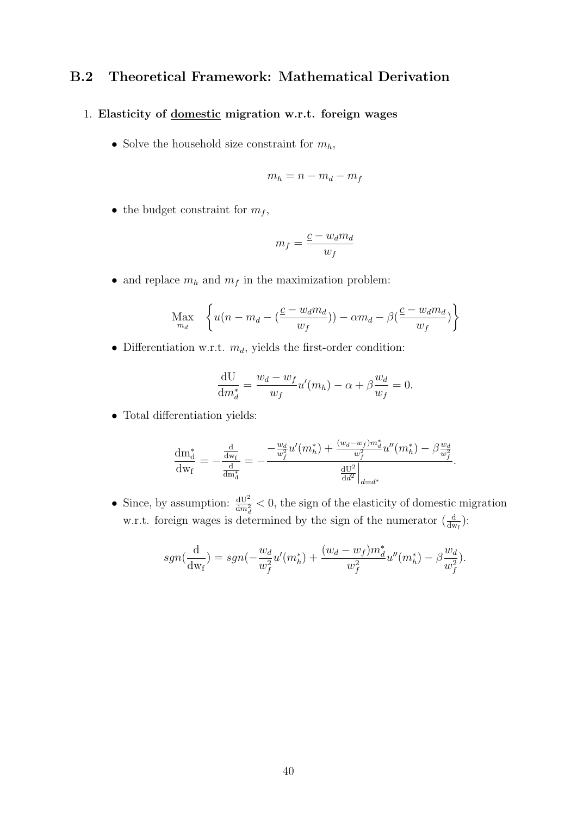#### <span id="page-39-0"></span>B.2 Theoretical Framework: Mathematical Derivation

#### 1. Elasticity of domestic migration w.r.t. foreign wages

• Solve the household size constraint for  $m_h$ ,

$$
m_h = n - m_d - m_f
$$

• the budget constraint for  $m_f$ ,

$$
m_f = \frac{\underline{c} - w_d m_d}{w_f}
$$

 $\bullet\,$  and replace  $m_h$  and  $m_f$  in the maximization problem:

$$
\underset{m_d}{\text{Max}} \quad \left\{ u(n - m_d - (\frac{c - w_d m_d}{w_f})) - \alpha m_d - \beta(\frac{c - w_d m_d}{w_f}) \right\}
$$

 $\bullet$  Differentiation w.r.t.  $m_d,$  yields the first-order condition:

$$
\frac{\mathrm{d}U}{\mathrm{d}m_d^*} = \frac{w_d - w_f}{w_f} u'(m_h) - \alpha + \beta \frac{w_d}{w_f} = 0.
$$

• Total differentiation yields:

$$
\frac{dm_d^*}{dw_f} = -\frac{\frac{d}{dw_f}}{\frac{d}{dm_d^*}} = -\frac{-\frac{w_d}{w_f^2}u'(m_h^*) + \frac{(w_d - w_f)m_d^*}{w_f^2}u''(m_h^*) - \beta \frac{w_d}{w_f^2}}{\frac{dU^2}{dd^2}\Big|_{d=d^*}}.
$$

• Since, by assumption:  $\frac{dU^2}{dm_d^2} < 0$ , the sign of the elasticity of domestic migration w.r.t. foreign wages is determined by the sign of the numerator  $\left(\frac{d}{dw_f}\right)$ :

$$
sgn(\frac{d}{dw_f}) = sgn(-\frac{w_d}{w_f^2}u'(m_h^*) + \frac{(w_d - w_f)m_d^*}{w_f^2}u''(m_h^*) - \beta \frac{w_d}{w_f^2}).
$$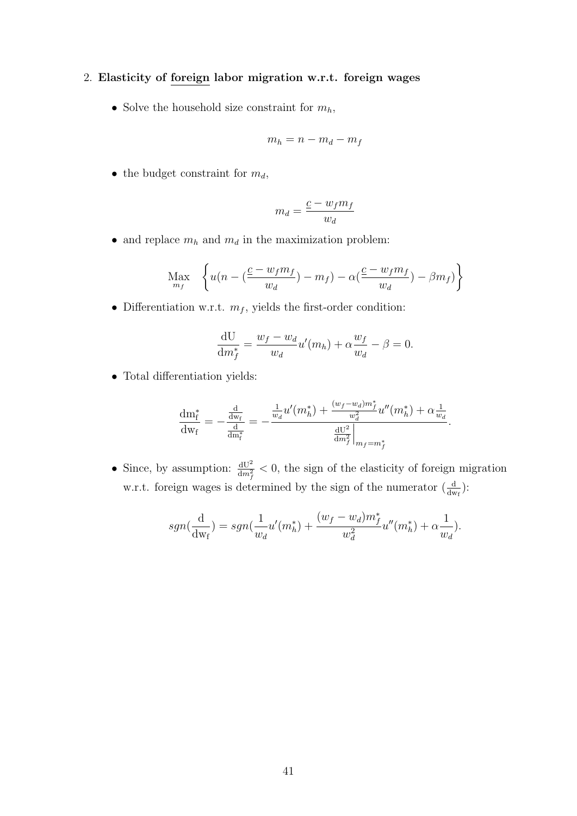#### 2. Elasticity of foreign labor migration w.r.t. foreign wages

• Solve the household size constraint for  $m_h$ ,

$$
m_h = n - m_d - m_f
$$

• the budget constraint for  $m_d$ ,

$$
m_d = \frac{\underline{c} - w_f m_f}{w_d}
$$

• and replace  $m_h$  and  $m_d$  in the maximization problem:

$$
\operatorname*{Max}_{m_f} \left\{ u(n - (\frac{c - w_f m_f}{w_d}) - m_f) - \alpha(\frac{c - w_f m_f}{w_d}) - \beta m_f) \right\}
$$

• Differentiation w.r.t.  $m_f$ , yields the first-order condition:

$$
\frac{\mathrm{d}U}{\mathrm{d}m_f^*} = \frac{w_f - w_d}{w_d} u'(m_h) + \alpha \frac{w_f}{w_d} - \beta = 0.
$$

• Total differentiation yields:

$$
\frac{dm_f^*}{dw_f} = -\frac{\frac{d}{dw_f}}{\frac{d}{dm_f^*}} = -\frac{\frac{1}{w_d}u'(m_h^*) + \frac{(w_f - w_d)m_f^*}{w_d^2}u''(m_h^*) + \alpha\frac{1}{w_d}}{\frac{dU^2}{dm_f^2}\Big|_{m_f = m_f^*}}
$$

.

• Since, by assumption:  $\frac{dU^2}{dm_f^2} < 0$ , the sign of the elasticity of foreign migration w.r.t. foreign wages is determined by the sign of the numerator  $\left(\frac{d}{dw_f}\right)$ :

$$
sgn(\frac{d}{dw_f}) = sgn(\frac{1}{w_d}u'(m_h^*) + \frac{(w_f - w_d)m_f^*}{w_d^2}u''(m_h^*) + \alpha \frac{1}{w_d}).
$$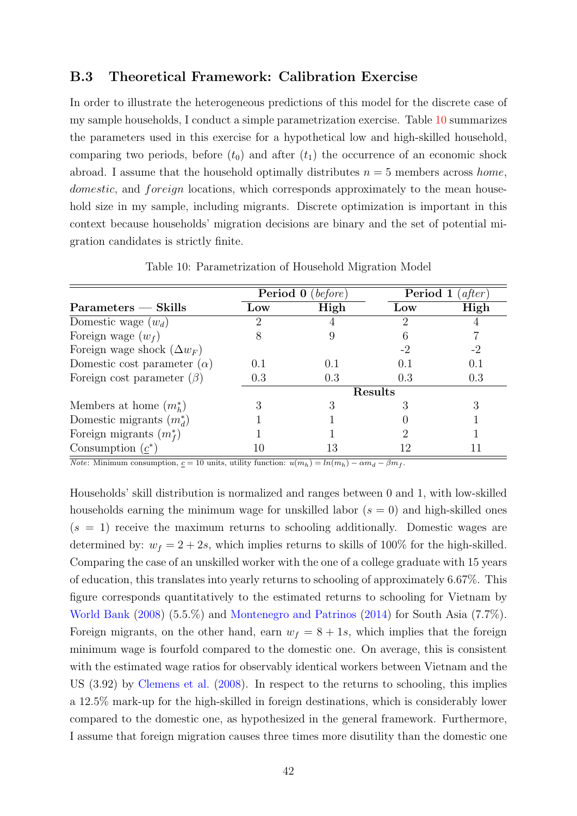#### <span id="page-41-0"></span>B.3 Theoretical Framework: Calibration Exercise

In order to illustrate the heterogeneous predictions of this model for the discrete case of my sample households, I conduct a simple parametrization exercise. Table [10](#page-41-1) summarizes the parameters used in this exercise for a hypothetical low and high-skilled household, comparing two periods, before  $(t_0)$  and after  $(t_1)$  the occurrence of an economic shock abroad. I assume that the household optimally distributes  $n = 5$  members across home, domestic, and foreign locations, which corresponds approximately to the mean household size in my sample, including migrants. Discrete optimization is important in this context because households' migration decisions are binary and the set of potential migration candidates is strictly finite.

<span id="page-41-1"></span>

|                                    |                 | <b>Period 0</b> (before) | Period 1  | (atter) |
|------------------------------------|-----------------|--------------------------|-----------|---------|
| Parameters — Skills                | $_{\text{LOW}}$ | High                     | Low       | High    |
| Domestic wage $(w_d)$              | 2               |                          | '2        |         |
| Foreign wage $(w_f)$               |                 |                          |           |         |
| Foreign wage shock $(\Delta w_F)$  |                 |                          | -2        | -2      |
| Domestic cost parameter $(\alpha)$ | 0.1             | 0.1                      | $(1)$ . 1 | (0.1)   |
| Foreign cost parameter $(\beta)$   | 0.3             | 0.3                      | 0.3       | 0.3     |
|                                    |                 |                          | Results   |         |
| Members at home $(m_h^*)$          |                 |                          |           |         |
| Domestic migrants $(m_d^*)$        |                 |                          |           |         |
| Foreign migrants $(m_f^*)$         |                 |                          |           |         |
| Consumption $(\underline{c}^*)$    | 10              | 13                       |           |         |

Table 10: Parametrization of Household Migration Model

Note: Minimum consumption,  $c = 10$  units, utility function:  $u(m_h) = ln(m_h) - \alpha m_d - \beta m_f$ .

Households' skill distribution is normalized and ranges between 0 and 1, with low-skilled households earning the minimum wage for unskilled labor  $(s = 0)$  and high-skilled ones  $(s = 1)$  receive the maximum returns to schooling additionally. Domestic wages are determined by:  $w_f = 2 + 2s$ , which implies returns to skills of 100% for the high-skilled. Comparing the case of an unskilled worker with the one of a college graduate with 15 years of education, this translates into yearly returns to schooling of approximately 6.67%. This figure corresponds quantitatively to the estimated returns to schooling for Vietnam by [World Bank](#page-30-13) [\(2008\)](#page-30-13) (5.5.%) and [Montenegro and Patrinos](#page-29-5) [\(2014\)](#page-29-5) for South Asia (7.7%). Foreign migrants, on the other hand, earn  $w_f = 8 + 1s$ , which implies that the foreign minimum wage is fourfold compared to the domestic one. On average, this is consistent with the estimated wage ratios for observably identical workers between Vietnam and the US (3.92) by [Clemens et al.](#page-27-11) [\(2008\)](#page-27-11). In respect to the returns to schooling, this implies a 12.5% mark-up for the high-skilled in foreign destinations, which is considerably lower compared to the domestic one, as hypothesized in the general framework. Furthermore, I assume that foreign migration causes three times more disutility than the domestic one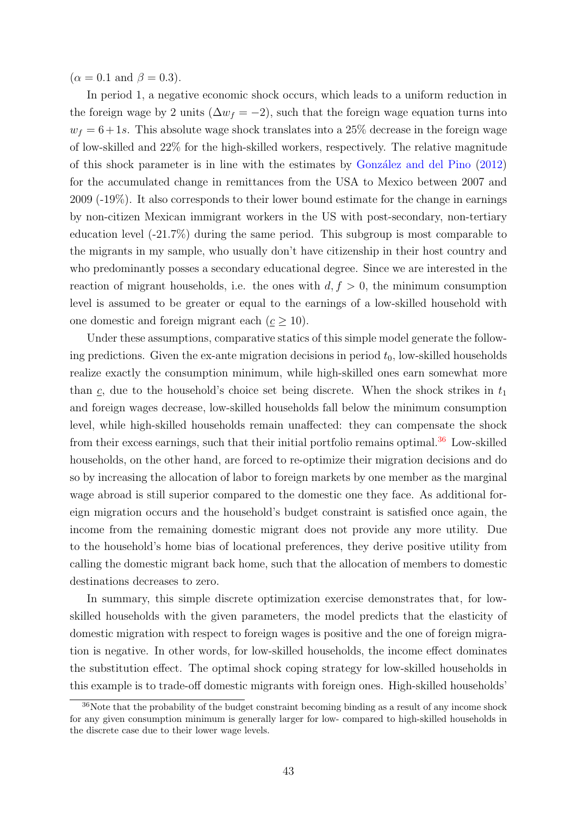$(\alpha = 0.1 \text{ and } \beta = 0.3).$ 

In period 1, a negative economic shock occurs, which leads to a uniform reduction in the foreign wage by 2 units ( $\Delta w_f = -2$ ), such that the foreign wage equation turns into  $w_f = 6 + 1s$ . This absolute wage shock translates into a 25% decrease in the foreign wage of low-skilled and 22% for the high-skilled workers, respectively. The relative magnitude of this shock parameter is in line with the estimates by González and del Pino  $(2012)$ for the accumulated change in remittances from the USA to Mexico between 2007 and 2009 (-19%). It also corresponds to their lower bound estimate for the change in earnings by non-citizen Mexican immigrant workers in the US with post-secondary, non-tertiary education level (-21.7%) during the same period. This subgroup is most comparable to the migrants in my sample, who usually don't have citizenship in their host country and who predominantly posses a secondary educational degree. Since we are interested in the reaction of migrant households, i.e. the ones with  $d, f > 0$ , the minimum consumption level is assumed to be greater or equal to the earnings of a low-skilled household with one domestic and foreign migrant each ( $c \geq 10$ ).

Under these assumptions, comparative statics of this simple model generate the following predictions. Given the ex-ante migration decisions in period  $t_0$ , low-skilled households realize exactly the consumption minimum, while high-skilled ones earn somewhat more than  $c$ , due to the household's choice set being discrete. When the shock strikes in  $t_1$ and foreign wages decrease, low-skilled households fall below the minimum consumption level, while high-skilled households remain unaffected: they can compensate the shock from their excess earnings, such that their initial portfolio remains optimal.<sup>[36](#page-42-0)</sup> Low-skilled households, on the other hand, are forced to re-optimize their migration decisions and do so by increasing the allocation of labor to foreign markets by one member as the marginal wage abroad is still superior compared to the domestic one they face. As additional foreign migration occurs and the household's budget constraint is satisfied once again, the income from the remaining domestic migrant does not provide any more utility. Due to the household's home bias of locational preferences, they derive positive utility from calling the domestic migrant back home, such that the allocation of members to domestic destinations decreases to zero.

In summary, this simple discrete optimization exercise demonstrates that, for lowskilled households with the given parameters, the model predicts that the elasticity of domestic migration with respect to foreign wages is positive and the one of foreign migration is negative. In other words, for low-skilled households, the income effect dominates the substitution effect. The optimal shock coping strategy for low-skilled households in this example is to trade-off domestic migrants with foreign ones. High-skilled households'

<span id="page-42-0"></span><sup>&</sup>lt;sup>36</sup>Note that the probability of the budget constraint becoming binding as a result of any income shock for any given consumption minimum is generally larger for low- compared to high-skilled households in the discrete case due to their lower wage levels.